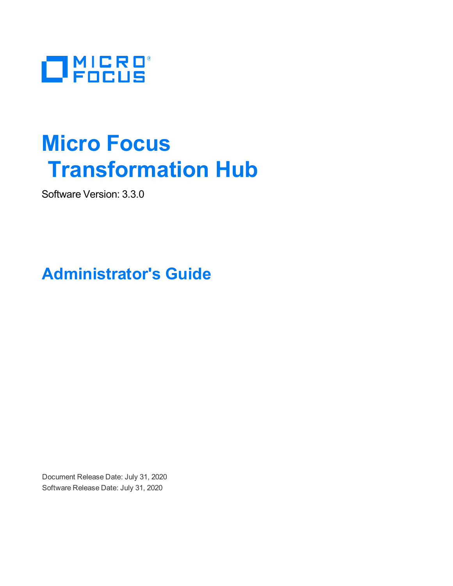

# **Micro Focus Transformation Hub**

Software Version: 3.3.0

**Administrator's Guide**

Document Release Date: July 31, 2020 Software Release Date: July 31, 2020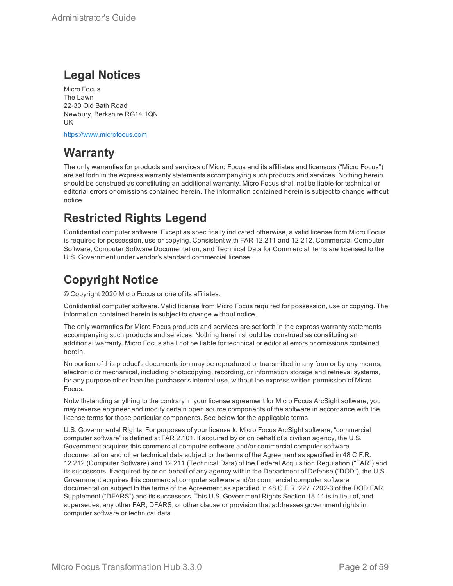## **Legal Notices**

Micro Focus The Lawn 22-30 Old Bath Road Newbury, Berkshire RG14 1QN UK

[https://www.microfocus.com](https://www.microfocus.com/)

## **Warranty**

The only warranties for products and services of Micro Focus and its affiliates and licensors ("Micro Focus") are set forth in the express warranty statements accompanying such products and services. Nothing herein should be construed as constituting an additional warranty. Micro Focus shall not be liable for technical or editorial errors or omissions contained herein. The information contained herein is subject to change without notice.

## **Restricted Rights Legend**

Confidential computer software. Except as specifically indicated otherwise, a valid license from Micro Focus is required for possession, use or copying. Consistent with FAR 12.211 and 12.212, Commercial Computer Software, Computer Software Documentation, and Technical Data for Commercial Items are licensed to the U.S. Government under vendor's standard commercial license.

## **Copyright Notice**

© Copyright 2020 Micro Focus or one of its affiliates.

Confidential computer software. Valid license from Micro Focus required for possession, use or copying. The information contained herein is subject to change without notice.

The only warranties for Micro Focus products and services are set forth in the express warranty statements accompanying such products and services. Nothing herein should be construed as constituting an additional warranty. Micro Focus shall not be liable for technical or editorial errors or omissions contained herein.

No portion of this product's documentation may be reproduced or transmitted in any form or by any means, electronic or mechanical, including photocopying, recording, or information storage and retrieval systems, for any purpose other than the purchaser's internal use, without the express written permission of Micro Focus.

Notwithstanding anything to the contrary in your license agreement for Micro Focus ArcSight software, you may reverse engineer and modify certain open source components of the software in accordance with the license terms for those particular components. See below for the applicable terms.

U.S. Governmental Rights. For purposes of your license to Micro Focus ArcSight software, "commercial computer software" is defined at FAR 2.101. If acquired by or on behalf of a civilian agency, the U.S. Government acquires this commercial computer software and/or commercial computer software documentation and other technical data subject to the terms of the Agreement as specified in 48 C.F.R. 12.212 (Computer Software) and 12.211 (Technical Data) of the Federal Acquisition Regulation ("FAR") and its successors. If acquired by or on behalf of any agency within the Department of Defense ("DOD"), the U.S. Government acquires this commercial computer software and/or commercial computer software documentation subject to the terms of the Agreement as specified in 48 C.F.R. 227.7202-3 of the DOD FAR Supplement ("DFARS") and its successors. This U.S. Government Rights Section 18.11 is in lieu of, and supersedes, any other FAR, DFARS, or other clause or provision that addresses government rights in computer software or technical data.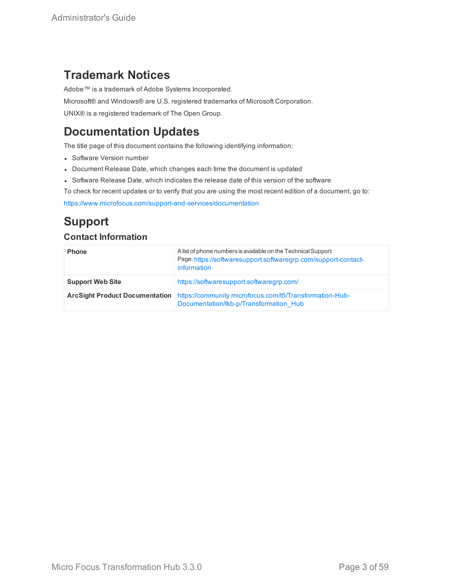## **Trademark Notices**

Adobe™ is a trademark of Adobe Systems Incorporated.

Microsoft® and Windows® are U.S. registered trademarks of Microsoft Corporation.

UNIX® is a registered trademark of The Open Group.

## **Documentation Updates**

The title page of this document contains the following identifying information:

- Software Version number
- Document Release Date, which changes each time the document is updated
- Software Release Date, which indicates the release date of this version of the software
- To check for recent updates or to verify that you are using the most recent edition of a document, go to:

<https://www.microfocus.com/support-and-services/documentation>

## **Support**

### **Contact Information**

| <b>Phone</b>            | A list of phone numbers is available on the Technical Support<br>Page: https://softwaresupport.softwaregrp.com/support-contact-<br>information |
|-------------------------|------------------------------------------------------------------------------------------------------------------------------------------------|
| <b>Support Web Site</b> | https://softwaresupport.softwaregrp.com/                                                                                                       |
|                         | <b>ArcSight Product Documentation</b> https://community.microfocus.com/t5/Transformation-Hub-<br>Documentation/tkb-p/Transformation Hub        |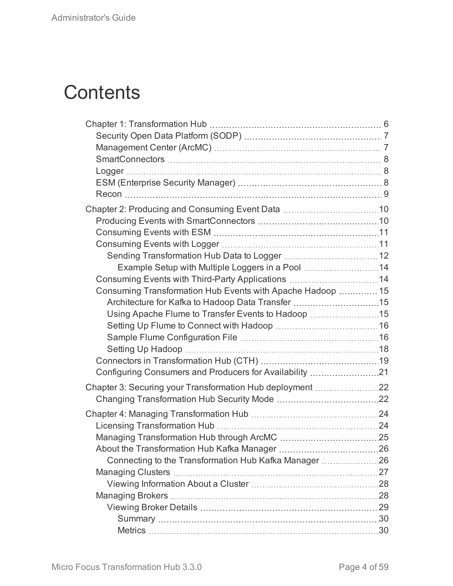# **Contents**

| Example Setup with Multiple Loggers in a Pool  14          |  |
|------------------------------------------------------------|--|
| Consuming Events with Third-Party Applications  14         |  |
| Consuming Transformation Hub Events with Apache Hadoop  15 |  |
| Architecture for Kafka to Hadoop Data Transfer 15          |  |
| Using Apache Flume to Transfer Events to Hadoop 15         |  |
|                                                            |  |
|                                                            |  |
|                                                            |  |
|                                                            |  |
| Configuring Consumers and Producers for Availability 21    |  |
| Chapter 3: Securing your Transformation Hub deployment 22  |  |
|                                                            |  |
|                                                            |  |
|                                                            |  |
|                                                            |  |
|                                                            |  |
| Connecting to the Transformation Hub Kafka Manager 26      |  |
|                                                            |  |
|                                                            |  |
|                                                            |  |
|                                                            |  |
|                                                            |  |
|                                                            |  |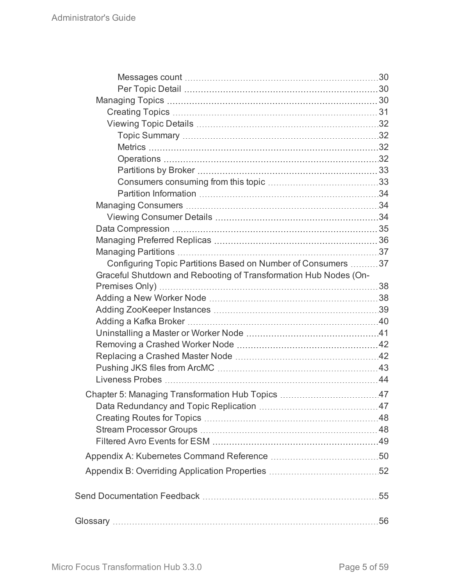| Configuring Topic Partitions Based on Number of Consumers 37     |  |
|------------------------------------------------------------------|--|
| Graceful Shutdown and Rebooting of Transformation Hub Nodes (On- |  |
|                                                                  |  |
|                                                                  |  |
|                                                                  |  |
|                                                                  |  |
|                                                                  |  |
|                                                                  |  |
|                                                                  |  |
|                                                                  |  |
|                                                                  |  |
|                                                                  |  |
|                                                                  |  |
|                                                                  |  |
|                                                                  |  |
|                                                                  |  |
|                                                                  |  |
|                                                                  |  |
|                                                                  |  |
|                                                                  |  |
|                                                                  |  |
|                                                                  |  |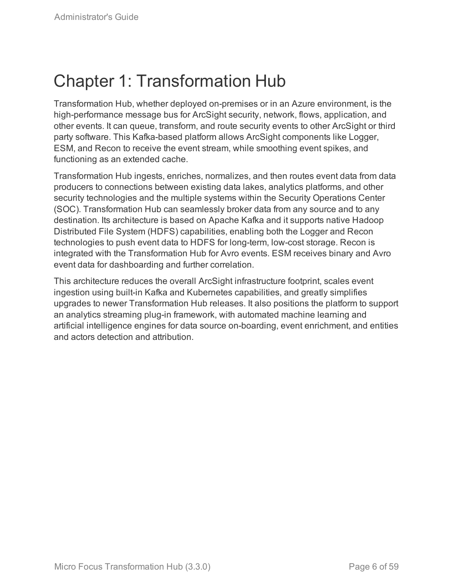# <span id="page-5-0"></span>Chapter 1: Transformation Hub

Transformation Hub, whether deployed on-premises or in an Azure environment, is the high-performance message bus for ArcSight security, network, flows, application, and other events. It can queue, transform, and route security events to other ArcSight or third party software. This Kafka-based platform allows ArcSight components like Logger, ESM, and Recon to receive the event stream, while smoothing event spikes, and functioning as an extended cache.

Transformation Hub ingests, enriches, normalizes, and then routes event data from data producers to connections between existing data lakes, analytics platforms, and other security technologies and the multiple systems within the Security Operations Center (SOC). Transformation Hub can seamlessly broker data from any source and to any destination. Its architecture is based on Apache Kafka and it supports native Hadoop Distributed File System (HDFS) capabilities, enabling both the Logger and Recon technologies to push event data to HDFS for long-term, low-cost storage. Recon is integrated with the Transformation Hub for Avro events. ESM receives binary and Avro event data for dashboarding and further correlation.

This architecture reduces the overall ArcSight infrastructure footprint, scales event ingestion using built-in Kafka and Kubernetes capabilities, and greatly simplifies upgrades to newer Transformation Hub releases. It also positions the platform to support an analytics streaming plug-in framework, with automated machine learning and artificial intelligence engines for data source on-boarding, event enrichment, and entities and actors detection and attribution.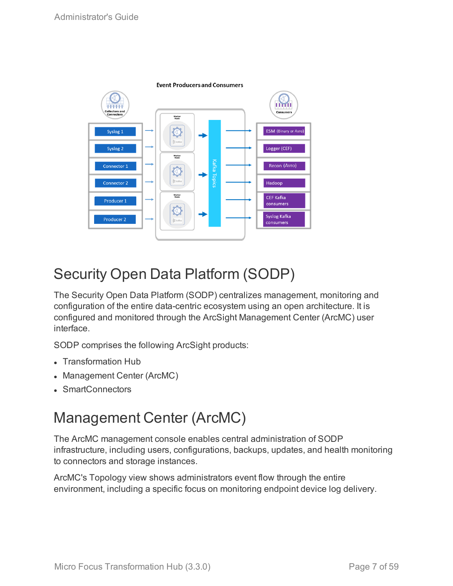

# <span id="page-6-0"></span>Security Open Data Platform (SODP)

The Security Open Data Platform (SODP) centralizes management, monitoring and configuration of the entire data-centric ecosystem using an open architecture. It is configured and monitored through the ArcSight Management Center (ArcMC) user interface.

SODP comprises the following ArcSight products:

- Transformation Hub
- Management Center (ArcMC)
- <span id="page-6-1"></span>• SmartConnectors

# Management Center (ArcMC)

The ArcMC management console enables central administration of SODP infrastructure, including users, configurations, backups, updates, and health monitoring to connectors and storage instances.

ArcMC's Topology view shows administrators event flow through the entire environment, including a specific focus on monitoring endpoint device log delivery.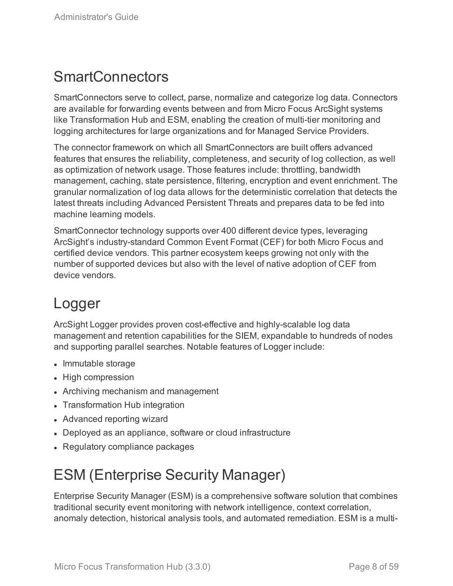# <span id="page-7-0"></span>**SmartConnectors**

SmartConnectors serve to collect, parse, normalize and categorize log data. Connectors are available for forwarding events between and from Micro Focus ArcSight systems like Transformation Hub and ESM, enabling the creation of multi-tier monitoring and logging architectures for large organizations and for Managed Service Providers.

The connector framework on which all SmartConnectors are built offers advanced features that ensures the reliability, completeness, and security of log collection, as well as optimization of network usage. Those features include: throttling, bandwidth management, caching, state persistence, filtering, encryption and event enrichment. The granular normalization of log data allows for the deterministic correlation that detects the latest threats including Advanced Persistent Threats and prepares data to be fed into machine learning models.

SmartConnector technology supports over 400 different device types, leveraging ArcSight's industry-standard Common Event Format (CEF) for both Micro Focus and certified device vendors. This partner ecosystem keeps growing not only with the number of supported devices but also with the level of native adoption of CEF from device vendors.

# <span id="page-7-1"></span>Logger

ArcSight Logger provides proven cost-effective and highly-scalable log data management and retention capabilities for the SIEM, expandable to hundreds of nodes and supporting parallel searches. Notable features of Logger include:

- Immutable storage
- High compression
- Archiving mechanism and management
- Transformation Hub integration
- Advanced reporting wizard
- Deployed as an appliance, software or cloud infrastructure
- <span id="page-7-2"></span>• Regulatory compliance packages

# ESM (Enterprise Security Manager)

Enterprise Security Manager (ESM) is a comprehensive software solution that combines traditional security event monitoring with network intelligence, context correlation, anomaly detection, historical analysis tools, and automated remediation. ESM is a multi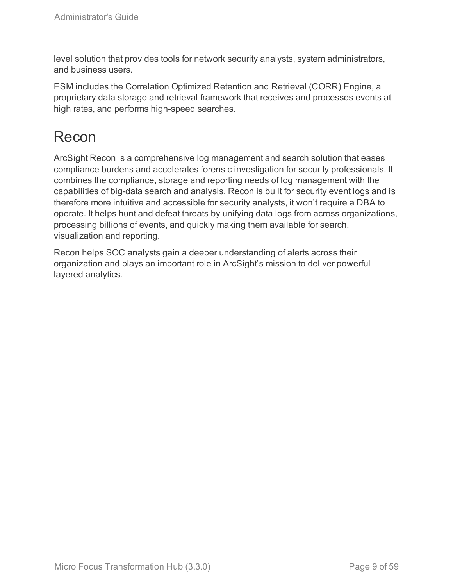level solution that provides tools for network security analysts, system administrators, and business users.

ESM includes the Correlation Optimized Retention and Retrieval (CORR) Engine, a proprietary data storage and retrieval framework that receives and processes events at high rates, and performs high-speed searches.

# <span id="page-8-0"></span>Recon

ArcSight Recon is a comprehensive log management and search solution that eases compliance burdens and accelerates forensic investigation for security professionals. It combines the compliance, storage and reporting needs of log management with the capabilities of big-data search and analysis. Recon is built for security event logs and is therefore more intuitive and accessible for security analysts, it won't require a DBA to operate. It helps hunt and defeat threats by unifying data logs from across organizations, processing billions of events, and quickly making them available for search, visualization and reporting.

Recon helps SOC analysts gain a deeper understanding of alerts across their organization and plays an important role in ArcSight's mission to deliver powerful layered analytics.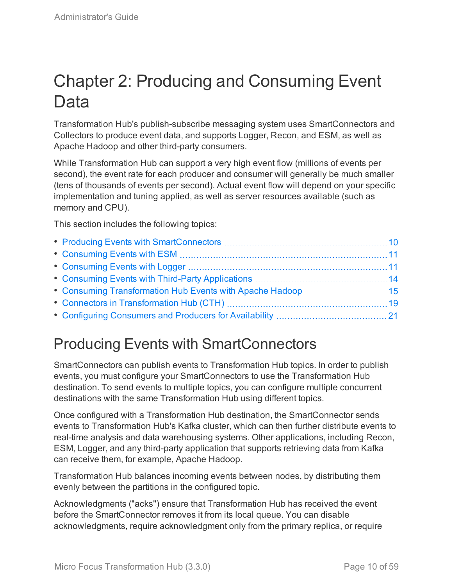# <span id="page-9-0"></span>Chapter 2: Producing and Consuming Event Data

Transformation Hub's publish-subscribe messaging system uses SmartConnectors and Collectors to produce event data, and supports Logger, Recon, and ESM, as well as Apache Hadoop and other third-party consumers.

While Transformation Hub can support a very high event flow (millions of events per second), the event rate for each producer and consumer will generally be much smaller (tens of thousands of events per second). Actual event flow will depend on your specific implementation and tuning applied, as well as server resources available (such as memory and CPU).

This section includes the following topics:

# <span id="page-9-1"></span>Producing Events with SmartConnectors

SmartConnectors can publish events to Transformation Hub topics. In order to publish events, you must configure your SmartConnectors to use the Transformation Hub destination. To send events to multiple topics, you can configure multiple concurrent destinations with the same Transformation Hub using different topics.

Once configured with a Transformation Hub destination, the SmartConnector sends events to Transformation Hub's Kafka cluster, which can then further distribute events to real-time analysis and data warehousing systems. Other applications, including Recon, ESM, Logger, and any third-party application that supports retrieving data from Kafka can receive them, for example, Apache Hadoop.

Transformation Hub balances incoming events between nodes, by distributing them evenly between the partitions in the configured topic.

Acknowledgments ("acks") ensure that Transformation Hub has received the event before the SmartConnector removes it from its local queue. You can disable acknowledgments, require acknowledgment only from the primary replica, or require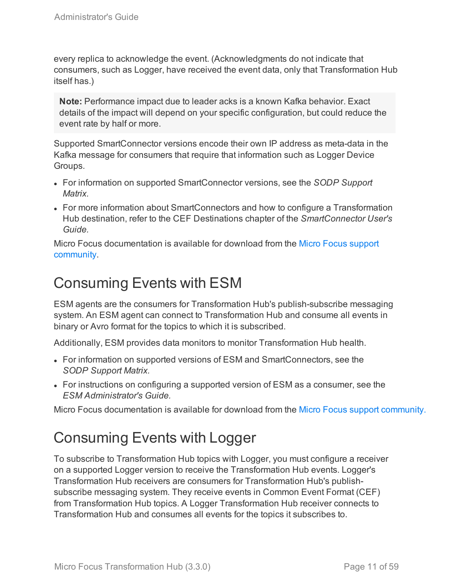every replica to acknowledge the event. (Acknowledgments do not indicate that consumers, such as Logger, have received the event data, only that Transformation Hub itself has.)

**Note:** Performance impact due to leader acks is a known Kafka behavior. Exact details of the impact will depend on your specific configuration, but could reduce the event rate by half or more.

Supported SmartConnector versions encode their own IP address as meta-data in the Kafka message for consumers that require that information such as Logger Device Groups.

- For information on supported SmartConnector versions, see the *SODP Support Matrix.*
- For more information about SmartConnectors and how to configure a Transformation Hub destination, refer to the CEF Destinations chapter of the *SmartConnector User's Guide.*

Micro Focus documentation is available for download from the Micro Focus [support](https://www.protect724.hpe.com/community/arcsight/productdocs) [community](https://www.protect724.hpe.com/community/arcsight/productdocs).

# <span id="page-10-0"></span>Consuming Events with ESM

ESM agents are the consumers for Transformation Hub's publish-subscribe messaging system. An ESM agent can connect to Transformation Hub and consume all events in binary or Avro format for the topics to which it is subscribed.

Additionally, ESM provides data monitors to monitor Transformation Hub health.

- For information on supported versions of ESM and SmartConnectors, see the *SODP Support Matrix.*
- For instructions on configuring a supported version of ESM as a consumer, see the *ESM Administrator's Guide.*

<span id="page-10-1"></span>Micro Focus documentation is available for download from the Micro Focus support [community.](https://community.softwaregrp.com/t5/ArcSight-Product-Documentation/ct-p/productdocs)

# Consuming Events with Logger

To subscribe to Transformation Hub topics with Logger, you must configure a receiver on a supported Logger version to receive the Transformation Hub events. Logger's Transformation Hub receivers are consumers for Transformation Hub's publishsubscribe messaging system. They receive events in Common Event Format (CEF) from Transformation Hub topics. A Logger Transformation Hub receiver connects to Transformation Hub and consumes all events for the topics it subscribes to.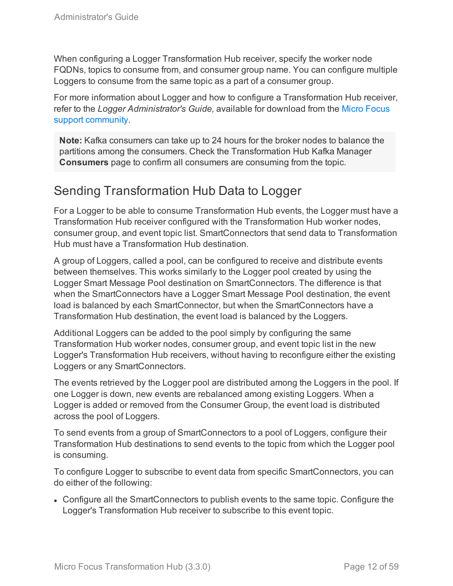When configuring a Logger Transformation Hub receiver, specify the worker node FQDNs, topics to consume from, and consumer group name. You can configure multiple Loggers to consume from the same topic as a part of a consumer group.

For more information about Logger and how to configure a Transformation Hub receiver, refer to the *Logger Administrator's Guide,* available for download from the Micro [Focus](https://www.protect724.hpe.com/community/arcsight/productdocs) support [community](https://www.protect724.hpe.com/community/arcsight/productdocs).

**Note:** Kafka consumers can take up to 24 hours for the broker nodes to balance the partitions among the consumers. Check the Transformation Hub Kafka Manager **Consumers** page to confirm all consumers are consuming from the topic.

## <span id="page-11-0"></span>Sending Transformation Hub Data to Logger

For a Logger to be able to consume Transformation Hub events, the Logger must have a Transformation Hub receiver configured with the Transformation Hub worker nodes, consumer group, and event topic list. SmartConnectors that send data to Transformation Hub must have a Transformation Hub destination.

A group of Loggers, called a pool, can be configured to receive and distribute events between themselves. This works similarly to the Logger pool created by using the Logger Smart Message Pool destination on SmartConnectors. The difference is that when the SmartConnectors have a Logger Smart Message Pool destination, the event load is balanced by each SmartConnector, but when the SmartConnectors have a Transformation Hub destination, the event load is balanced by the Loggers.

Additional Loggers can be added to the pool simply by configuring the same Transformation Hub worker nodes, consumer group, and event topic list in the new Logger's Transformation Hub receivers, without having to reconfigure either the existing Loggers or any SmartConnectors.

The events retrieved by the Logger pool are distributed among the Loggers in the pool. If one Logger is down, new events are rebalanced among existing Loggers. When a Logger is added or removed from the Consumer Group, the event load is distributed across the pool of Loggers.

To send events from a group of SmartConnectors to a pool of Loggers, configure their Transformation Hub destinations to send events to the topic from which the Logger pool is consuming.

To configure Logger to subscribe to event data from specific SmartConnectors, you can do either of the following:

• Configure all the SmartConnectors to publish events to the same topic. Configure the Logger's Transformation Hub receiver to subscribe to this event topic.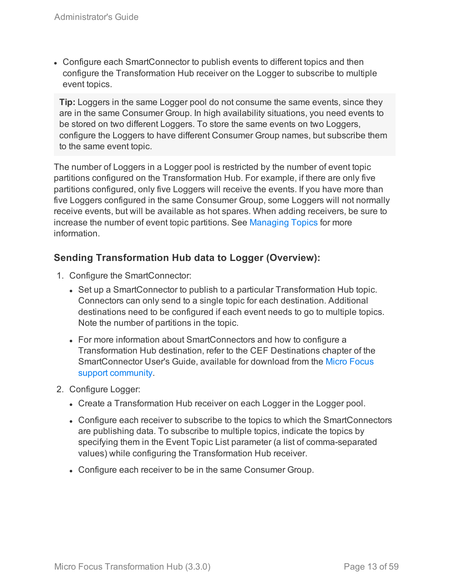• Configure each SmartConnector to publish events to different topics and then configure the Transformation Hub receiver on the Logger to subscribe to multiple event topics.

**Tip:** Loggers in the same Logger pool do not consume the same events, since they are in the same Consumer Group. In high availability situations, you need events to be stored on two different Loggers. To store the same events on two Loggers, configure the Loggers to have different Consumer Group names, but subscribe them to the same event topic.

The number of Loggers in a Logger pool is restricted by the number of event topic partitions configured on the Transformation Hub. For example, if there are only five partitions configured, only five Loggers will receive the events. If you have more than five Loggers configured in the same Consumer Group, some Loggers will not normally receive events, but will be available as hot spares. When adding receivers, be sure to increase the number of event topic partitions. See [Managing](#page-46-0) Topics for more information.

## **Sending Transformation Hub data to Logger (Overview):**

- 1. Configure the SmartConnector:
	- Set up a SmartConnector to publish to a particular Transformation Hub topic. Connectors can only send to a single topic for each destination. Additional destinations need to be configured if each event needs to go to multiple topics. Note the number of partitions in the topic.
	- For more information about SmartConnectors and how to configure a Transformation Hub destination, refer to the CEF Destinations chapter of the SmartConnector User's Guide, available for download from the Micro [Focus](https://www.protect724.hpe.com/community/arcsight/productdocs) support [community](https://www.protect724.hpe.com/community/arcsight/productdocs).
- 2. Configure Logger:
	- Create a Transformation Hub receiver on each Logger in the Logger pool.
	- Configure each receiver to subscribe to the topics to which the SmartConnectors are publishing data. To subscribe to multiple topics, indicate the topics by specifying them in the Event Topic List parameter (a list of comma-separated values) while configuring the Transformation Hub receiver.
	- Configure each receiver to be in the same Consumer Group.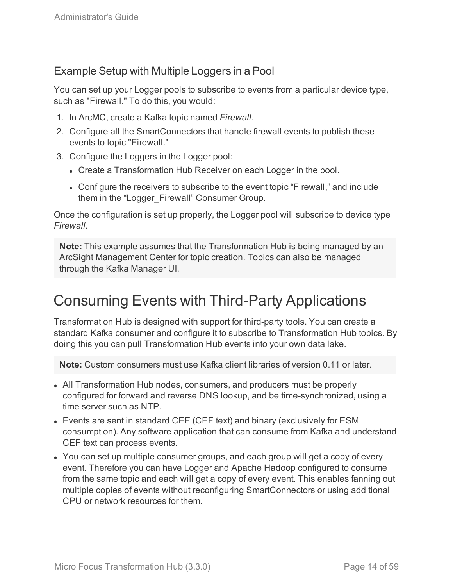## <span id="page-13-0"></span>Example Setup with Multiple Loggers in a Pool

You can set up your Logger pools to subscribe to events from a particular device type, such as "Firewall." To do this, you would:

- 1. In ArcMC, create a Kafka topic named *Firewall*.
- 2. Configure all the SmartConnectors that handle firewall events to publish these events to topic "Firewall."
- 3. Configure the Loggers in the Logger pool:
	- Create a Transformation Hub Receiver on each Logger in the pool.
	- Configure the receivers to subscribe to the event topic "Firewall," and include them in the "Logger\_Firewall" Consumer Group.

Once the configuration is set up properly, the Logger pool will subscribe to device type *Firewall*.

**Note:** This example assumes that the Transformation Hub is being managed by an ArcSight Management Center for topic creation. Topics can also be managed through the Kafka Manager UI.

# <span id="page-13-1"></span>Consuming Events with Third-Party Applications

Transformation Hub is designed with support for third-party tools. You can create a standard Kafka consumer and configure it to subscribe to Transformation Hub topics. By doing this you can pull Transformation Hub events into your own data lake.

**Note:** Custom consumers must use Kafka client libraries of version 0.11 or later.

- All Transformation Hub nodes, consumers, and producers must be properly configured for forward and reverse DNS lookup, and be time-synchronized, using a time server such as NTP.
- Events are sent in standard CEF (CEF text) and binary (exclusively for ESM consumption). Any software application that can consume from Kafka and understand CEF text can process events.
- You can set up multiple consumer groups, and each group will get a copy of every event. Therefore you can have Logger and Apache Hadoop configured to consume from the same topic and each will get a copy of every event. This enables fanning out multiple copies of events without reconfiguring SmartConnectors or using additional CPU or network resources for them.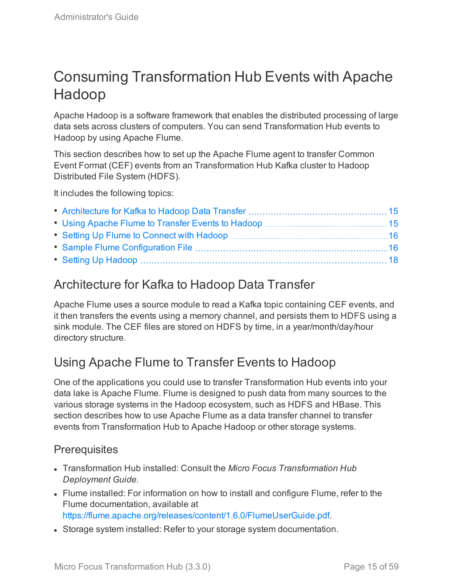# <span id="page-14-0"></span>Consuming Transformation Hub Events with Apache Hadoop

Apache Hadoop is a software framework that enables the distributed processing of large data sets across clusters of computers. You can send Transformation Hub events to Hadoop by using Apache Flume.

This section describes how to set up the Apache Flume agent to transfer Common Event Format (CEF) events from an Transformation Hub Kafka cluster to Hadoop Distributed File System (HDFS).

It includes the following topics:

## <span id="page-14-1"></span>Architecture for Kafka to Hadoop Data Transfer

Apache Flume uses a source module to read a Kafka topic containing CEF events, and it then transfers the events using a memory channel, and persists them to HDFS using a sink module. The CEF files are stored on HDFS by time, in a year/month/day/hour directory structure.

## <span id="page-14-2"></span>Using Apache Flume to Transfer Events to Hadoop

One of the applications you could use to transfer Transformation Hub events into your data lake is Apache Flume. Flume is designed to push data from many sources to the various storage systems in the Hadoop ecosystem, such as HDFS and HBase. This section describes how to use Apache Flume as a data transfer channel to transfer events from Transformation Hub to Apache Hadoop or other storage systems.

## **Prerequisites**

- <sup>l</sup> Transformation Hub installed: Consult the *Micro Focus Transformation Hub Deployment Guide*.
- Flume installed: For information on how to install and configure Flume, refer to the Flume documentation, available at [https://flume.apache.org/releases/content/1.6.0/FlumeUserGuide.pdf.](https://flume.apache.org/releases/content/1.6.0/FlumeUserGuide.pdf)
- Storage system installed: Refer to your storage system documentation.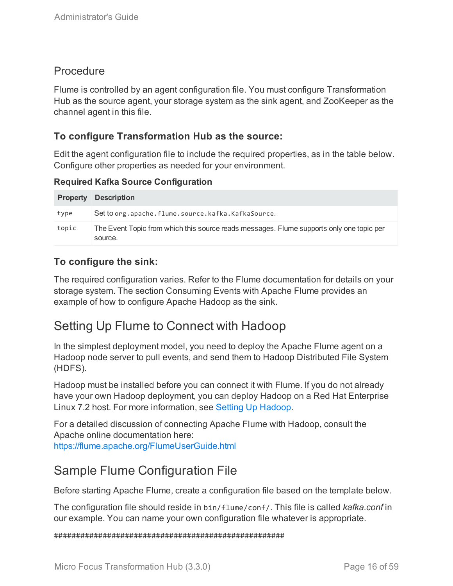## **Procedure**

Flume is controlled by an agent configuration file. You must configure Transformation Hub as the source agent, your storage system as the sink agent, and ZooKeeper as the channel agent in this file.

## **To configure Transformation Hub as the source:**

Edit the agent configuration file to include the required properties, as in the table below. Configure other properties as needed for your environment.

**Required Kafka Source Configuration**

|       | <b>Property Description</b>                                                                         |
|-------|-----------------------------------------------------------------------------------------------------|
| type  | Set to org.apache.flume.source.kafka.KafkaSource.                                                   |
| topic | The Event Topic from which this source reads messages. Flume supports only one topic per<br>source. |

## **To configure the sink:**

The required configuration varies. Refer to the Flume documentation for details on your storage system. The section Consuming Events with Apache Flume provides an example of how to configure Apache Hadoop as the sink.

## <span id="page-15-0"></span>Setting Up Flume to Connect with Hadoop

In the simplest deployment model, you need to deploy the Apache Flume agent on a Hadoop node server to pull events, and send them to Hadoop Distributed File System (HDFS).

Hadoop must be installed before you can connect it with Flume. If you do not already have your own Hadoop deployment, you can deploy Hadoop on a Red Hat Enterprise Linux 7.2 host. For more information, see Setting Up [Hadoop.](#page-17-0)

For a detailed discussion of connecting Apache Flume with Hadoop, consult the Apache online documentation here:

<span id="page-15-1"></span><https://flume.apache.org/FlumeUserGuide.html>

## Sample Flume Configuration File

Before starting Apache Flume, create a configuration file based on the template below.

The configuration file should reside in bin/flume/conf/. This file is called *kafka.conf* in our example. You can name your own configuration file whatever is appropriate.

####################################################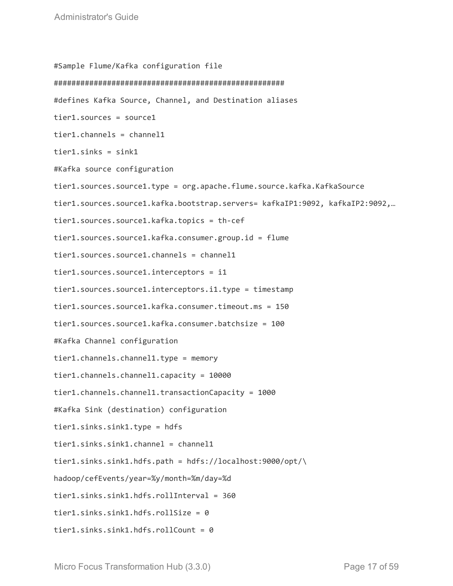#Sample Flume/Kafka configuration file #################################################### #defines Kafka Source, Channel, and Destination aliases tier1.sources = source1 tier1.channels = channel1 tier1.sinks = sink1 #Kafka source configuration tier1.sources.source1.type = org.apache.flume.source.kafka.KafkaSource tier1.sources.source1.kafka.bootstrap.servers= kafkaIP1:9092, kafkaIP2:9092,… tier1.sources.source1.kafka.topics = th-cef tier1.sources.source1.kafka.consumer.group.id = flume tier1.sources.source1.channels = channel1 tier1.sources.source1.interceptors = i1 tier1.sources.source1.interceptors.i1.type = timestamp tier1.sources.source1.kafka.consumer.timeout.ms = 150 tier1.sources.source1.kafka.consumer.batchsize = 100 #Kafka Channel configuration tier1.channels.channel1.type = memory tier1.channels.channel1.capacity = 10000 tier1.channels.channel1.transactionCapacity = 1000 #Kafka Sink (destination) configuration tier1.sinks.sink1.type = hdfs tier1.sinks.sink1.channel = channel1 tier1.sinks.sink1.hdfs.path = hdfs://localhost:9000/opt/\ hadoop/cefEvents/year=%y/month=%m/day=%d tier1.sinks.sink1.hdfs.rollInterval = 360 tier1.sinks.sink1.hdfs.rollSize = 0 tier1.sinks.sink1.hdfs.rollCount = 0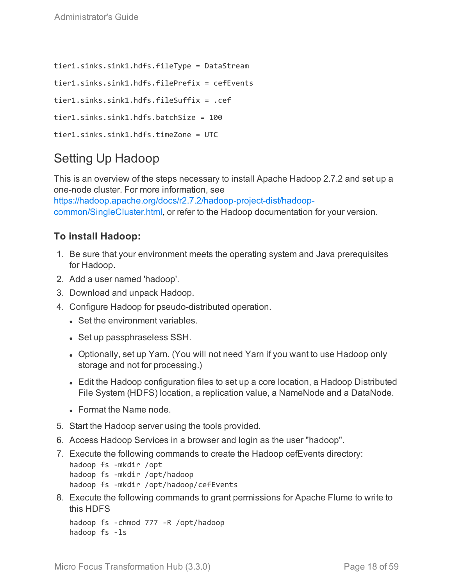```
tier1.sinks.sink1.hdfs.fileType = DataStream
tier1.sinks.sink1.hdfs.filePrefix = cefEvents
tier1.sinks.sink1.hdfs.fileSuffix = .cef
tier1.sinks.sink1.hdfs.batchSize = 100
tier1.sinks.sink1.hdfs.timeZone = UTC
```
## <span id="page-17-0"></span>Setting Up Hadoop

This is an overview of the steps necessary to install Apache Hadoop 2.7.2 and set up a one-node cluster. For more information, see

[https://hadoop.apache.org/docs/r2.7.2/hadoop-project-dist/hadoop](https://hadoop.apache.org/docs/r2.7.2/hadoop-project-dist/hadoop-common/SingleCluster.html)[common/SingleCluster.html,](https://hadoop.apache.org/docs/r2.7.2/hadoop-project-dist/hadoop-common/SingleCluster.html) or refer to the Hadoop documentation for your version.

## **To install Hadoop:**

- 1. Be sure that your environment meets the operating system and Java prerequisites for Hadoop.
- 2. Add a user named 'hadoop'.
- 3. Download and unpack Hadoop.
- 4. Configure Hadoop for pseudo-distributed operation.
	- Set the environment variables.
	- Set up passphraseless SSH.
	- Optionally, set up Yarn. (You will not need Yarn if you want to use Hadoop only storage and not for processing.)
	- Edit the Hadoop configuration files to set up a core location, a Hadoop Distributed File System (HDFS) location, a replication value, a NameNode and a DataNode.
	- Format the Name node.
- 5. Start the Hadoop server using the tools provided.
- 6. Access Hadoop Services in a browser and login as the user "hadoop".
- 7. Execute the following commands to create the Hadoop cefEvents directory:

```
hadoop fs -mkdir /opt
hadoop fs -mkdir /opt/hadoop
hadoop fs -mkdir /opt/hadoop/cefEvents
```
8. Execute the following commands to grant permissions for Apache Flume to write to this HDFS

```
hadoop fs -chmod 777 -R /opt/hadoop
hadoop fs -ls
```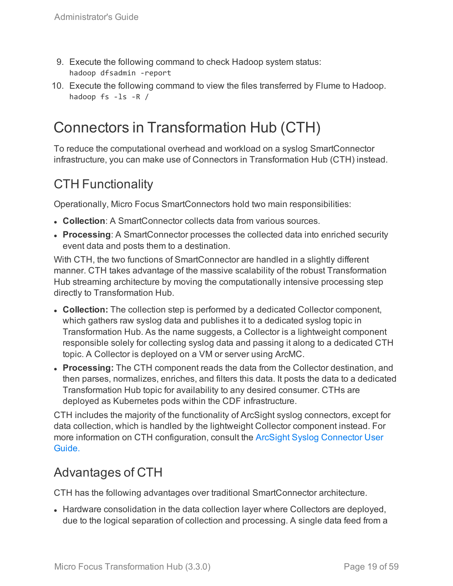- 9. Execute the following command to check Hadoop system status: hadoop dfsadmin -report
- 10. Execute the following command to view the files transferred by Flume to Hadoop. hadoop fs -ls -R /

# <span id="page-18-0"></span>Connectors in Transformation Hub (CTH)

To reduce the computational overhead and workload on a syslog SmartConnector infrastructure, you can make use of Connectors in Transformation Hub (CTH) instead.

## CTH Functionality

Operationally, Micro Focus SmartConnectors hold two main responsibilities:

- **Collection**: A SmartConnector collects data from various sources.
- **Processing:** A SmartConnector processes the collected data into enriched security event data and posts them to a destination.

With CTH, the two functions of SmartConnector are handled in a slightly different manner. CTH takes advantage of the massive scalability of the robust Transformation Hub streaming architecture by moving the computationally intensive processing step directly to Transformation Hub.

- **Collection:** The collection step is performed by a dedicated Collector component, which gathers raw syslog data and publishes it to a dedicated syslog topic in Transformation Hub. As the name suggests, a Collector is a lightweight component responsible solely for collecting syslog data and passing it along to a dedicated CTH topic. A Collector is deployed on a VM or server using ArcMC.
- <sup>l</sup> **Processing:** The CTH component reads the data from the Collector destination, and then parses, normalizes, enriches, and filters this data. It posts the data to a dedicated Transformation Hub topic for availability to any desired consumer. CTHs are deployed as Kubernetes pods within the CDF infrastructure.

CTH includes the majority of the functionality of ArcSight syslog connectors, except for data collection, which is handled by the lightweight Collector component instead. For more information on CTH configuration, consult the ArcSight Syslog [Connector](https://community.softwaregrp.com/t5/ArcSight-Connectors/tkb-p/connector-documentation) User [Guide.](https://community.softwaregrp.com/t5/ArcSight-Connectors/tkb-p/connector-documentation)

## Advantages of CTH

CTH has the following advantages over traditional SmartConnector architecture.

• Hardware consolidation in the data collection layer where Collectors are deployed, due to the logical separation of collection and processing. A single data feed from a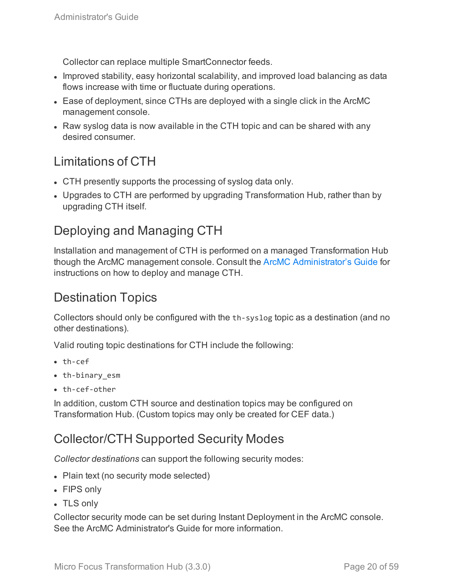Collector can replace multiple SmartConnector feeds.

- Improved stability, easy horizontal scalability, and improved load balancing as data flows increase with time or fluctuate during operations.
- Ease of deployment, since CTHs are deployed with a single click in the ArcMC management console.
- Raw syslog data is now available in the CTH topic and can be shared with any desired consumer.

## Limitations of CTH

- CTH presently supports the processing of syslog data only.
- Upgrades to CTH are performed by upgrading Transformation Hub, rather than by upgrading CTH itself.

## Deploying and Managing CTH

Installation and management of CTH is performed on a managed Transformation Hub though the ArcMC management console. Consult the ArcMC [Administrator's](https://community.softwaregrp.com/t5/ArcSight-Product-Documentation/ct-p/productdocs) Guide for instructions on how to deploy and manage CTH.

## Destination Topics

Collectors should only be configured with the th-syslog topic as a destination (and no other destinations).

Valid routing topic destinations for CTH include the following:

- $\cdot$  th-cef
- th-binary esm
- $\bullet$  th-cef-other

In addition, custom CTH source and destination topics may be configured on Transformation Hub. (Custom topics may only be created for CEF data.)

## Collector/CTH Supported Security Modes

*Collector destinations* can support the following security modes:

- Plain text (no security mode selected)
- FIPS only
- TLS only

Collector security mode can be set during Instant Deployment in the ArcMC console. See the ArcMC Administrator's Guide for more information.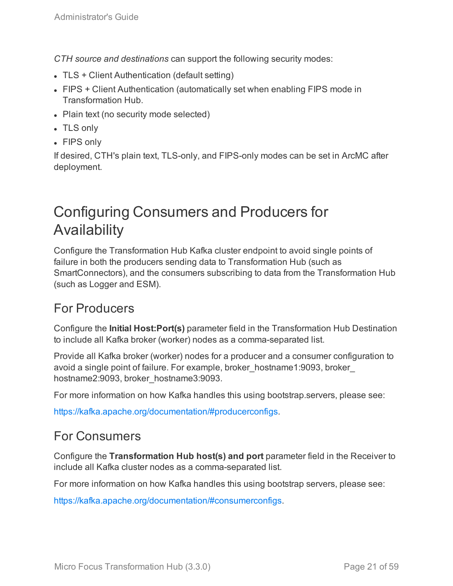*CTH source and destinations* can support the following security modes:

- $\bullet$  TLS + Client Authentication (default setting)
- FIPS + Client Authentication (automatically set when enabling FIPS mode in Transformation Hub.
- Plain text (no security mode selected)
- TLS only
- FIPS only

If desired, CTH's plain text, TLS-only, and FIPS-only modes can be set in ArcMC after deployment.

# <span id="page-20-0"></span>Configuring Consumers and Producers for Availability

Configure the Transformation Hub Kafka cluster endpoint to avoid single points of failure in both the producers sending data to Transformation Hub (such as SmartConnectors), and the consumers subscribing to data from the Transformation Hub (such as Logger and ESM).

## For Producers

Configure the **Initial Host:Port(s)** parameter field in the Transformation Hub Destination to include all Kafka broker (worker) nodes as a comma-separated list.

Provide all Kafka broker (worker) nodes for a producer and a consumer configuration to avoid a single point of failure. For example, broker\_hostname1:9093, broker\_ hostname2:9093, broker\_hostname3:9093.

For more information on how Kafka handles this using bootstrap.servers, please see:

[https://kafka.apache.org/documentation/#producerconfigs.](https://kafka.apache.org/documentation/#producerconfigs)

## For Consumers

Configure the **Transformation Hub host(s) and port** parameter field in the Receiver to include all Kafka cluster nodes as a comma-separated list.

For more information on how Kafka handles this using bootstrap servers, please see:

<https://kafka.apache.org/documentation/#consumerconfigs>.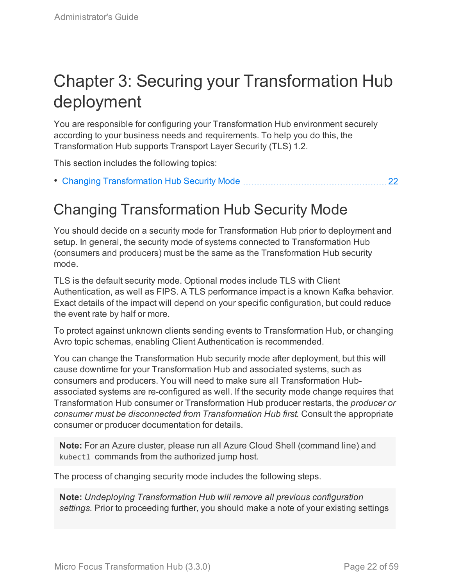# <span id="page-21-0"></span>Chapter 3: Securing your Transformation Hub deployment

You are responsible for configuring your Transformation Hub environment securely according to your business needs and requirements. To help you do this, the Transformation Hub supports Transport Layer Security (TLS) 1.2.

This section includes the following topics:

<span id="page-21-1"></span>• Changing [Transformation](#page-21-1) Hub Security Mode [22](#page-21-1)

# Changing Transformation Hub Security Mode

You should decide on a security mode for Transformation Hub prior to deployment and setup. In general, the security mode of systems connected to Transformation Hub (consumers and producers) must be the same as the Transformation Hub security mode.

TLS is the default security mode. Optional modes include TLS with Client Authentication, as well as FIPS. A TLS performance impact is a known Kafka behavior. Exact details of the impact will depend on your specific configuration, but could reduce the event rate by half or more.

To protect against unknown clients sending events to Transformation Hub, or changing Avro topic schemas, enabling Client Authentication is recommended.

You can change the Transformation Hub security mode after deployment, but this will cause downtime for your Transformation Hub and associated systems, such as consumers and producers. You will need to make sure all Transformation Hubassociated systems are re-configured as well. If the security mode change requires that Transformation Hub consumer or Transformation Hub producer restarts, the *producer or consumer must be disconnected from Transformation Hub first.* Consult the appropriate consumer or producer documentation for details.

**Note:** For an Azure cluster, please run all Azure Cloud Shell (command line) and kubectl commands from the authorized jump host.

The process of changing security mode includes the following steps.

**Note:** *Undeploying Transformation Hub will remove all previous configuration settings.* Prior to proceeding further, you should make a note of your existing settings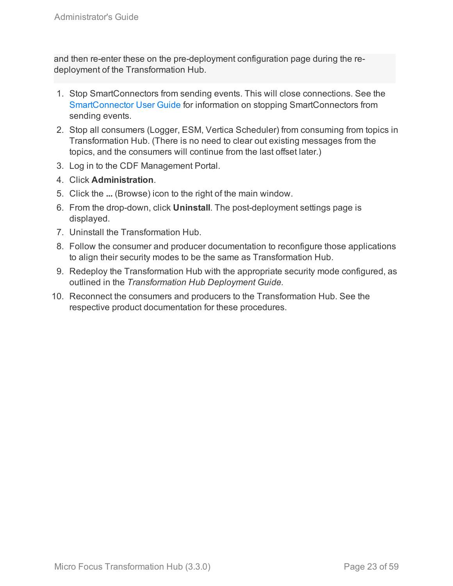and then re-enter these on the pre-deployment configuration page during the redeployment of the Transformation Hub.

- 1. Stop SmartConnectors from sending events. This will close connections. See the [SmartConnector](https://community.microfocus.com/t5/ArcSight-Connectors/ct-p/ConnectorsDocs) User Guide for information on stopping SmartConnectors from sending events.
- 2. Stop all consumers (Logger, ESM, Vertica Scheduler) from consuming from topics in Transformation Hub. (There is no need to clear out existing messages from the topics, and the consumers will continue from the last offset later.)
- 3. Log in to the CDF Management Portal.
- 4. Click **Administration**.
- 5. Click the **...** (Browse) icon to the right of the main window.
- 6. From the drop-down, click **Uninstall**. The post-deployment settings page is displayed.
- 7. Uninstall the Transformation Hub.
- 8. Follow the consumer and producer documentation to reconfigure those applications to align their security modes to be the same as Transformation Hub.
- 9. Redeploy the Transformation Hub with the appropriate security mode configured, as outlined in the *Transformation Hub Deployment Guide.*
- 10. Reconnect the consumers and producers to the Transformation Hub. See the respective product documentation for these procedures.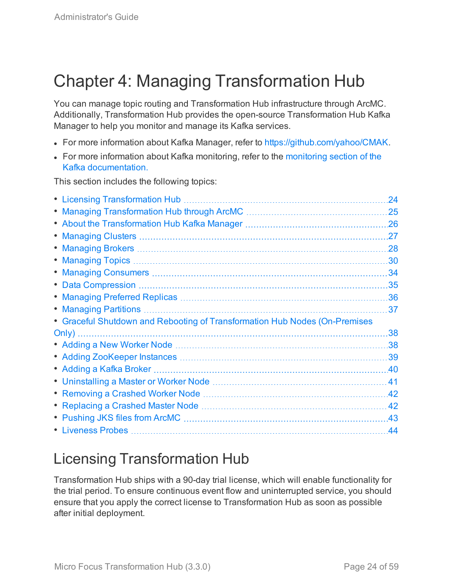# <span id="page-23-0"></span>Chapter 4: Managing Transformation Hub

You can manage topic routing and Transformation Hub infrastructure through ArcMC. Additionally, Transformation Hub provides the open-source Transformation Hub Kafka Manager to help you monitor and manage its Kafka services.

- For more information about Kafka Manager, refer to <https://github.com/yahoo/CMAK>.
- For more information about Kafka [monitoring](http://kafka.apache.org/documentation#monitoring), refer to the monitoring section of the Kafka [documentation.](http://kafka.apache.org/documentation.html)

This section includes the following topics:

|                                                                            | 24  |
|----------------------------------------------------------------------------|-----|
|                                                                            | 25  |
|                                                                            | .26 |
|                                                                            | .27 |
|                                                                            | .28 |
|                                                                            | 30  |
|                                                                            | 34  |
|                                                                            | 35  |
|                                                                            | .36 |
| • Managing Partitions                                                      | 37  |
|                                                                            |     |
| • Graceful Shutdown and Rebooting of Transformation Hub Nodes (On-Premises |     |
|                                                                            | 38  |
|                                                                            | .38 |
|                                                                            | 39  |
|                                                                            | .40 |
|                                                                            | 41  |
|                                                                            | .42 |
|                                                                            | 42  |
| • Pushing JKS files from ArcMC                                             | .43 |

# <span id="page-23-1"></span>Licensing Transformation Hub

Transformation Hub ships with a 90-day trial license, which will enable functionality for the trial period. To ensure continuous event flow and uninterrupted service, you should ensure that you apply the correct license to Transformation Hub as soon as possible after initial deployment.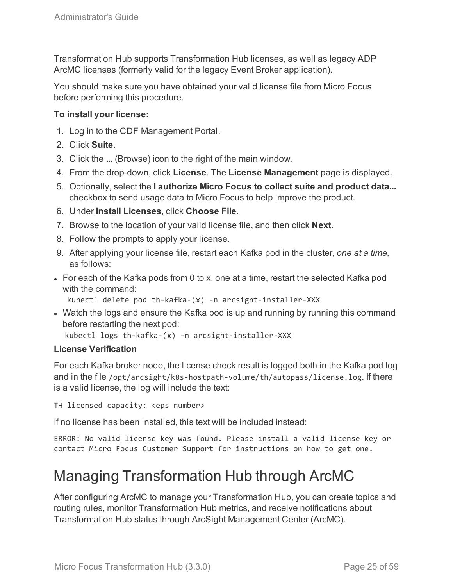Transformation Hub supports Transformation Hub licenses, as well as legacy ADP ArcMC licenses (formerly valid for the legacy Event Broker application).

You should make sure you have obtained your valid license file from Micro Focus before performing this procedure.

### **To install your license:**

- 1. Log in to the CDF Management Portal.
- 2. Click **Suite**.
- 3. Click the **...** (Browse) icon to the right of the main window.
- 4. From the drop-down, click **License**. The **License Management** page is displayed.
- 5. Optionally, select the **I authorize Micro Focus to collect suite and product data...** checkbox to send usage data to Micro Focus to help improve the product.
- 6. Under **Install Licenses**, click **Choose File.**
- 7. Browse to the location of your valid license file, and then click **Next**.
- 8. Follow the prompts to apply your license.
- 9. After applying your license file, restart each Kafka pod in the cluster, *one at a time,* as follows:
- $\bullet$  For each of the Kafka pods from 0 to x, one at a time, restart the selected Kafka pod with the command:

```
kubectl delete pod th-kafka-(x) -n arcsight-installer-XXX
```
• Watch the logs and ensure the Kafka pod is up and running by running this command before restarting the next pod:

```
kubectl logs th-kafka-(x) -n arcsight-installer-XXX
```
### **License Verification**

For each Kafka broker node, the license check result is logged both in the Kafka pod log and in the file /opt/arcsight/k8s-hostpath-volume/th/autopass/license.log. If there is a valid license, the log will include the text:

TH licensed capacity: <eps number>

If no license has been installed, this text will be included instead:

<span id="page-24-0"></span>ERROR: No valid license key was found. Please install a valid license key or contact Micro Focus Customer Support for instructions on how to get one.

# Managing Transformation Hub through ArcMC

After configuring ArcMC to manage your Transformation Hub, you can create topics and routing rules, monitor Transformation Hub metrics, and receive notifications about Transformation Hub status through ArcSight Management Center (ArcMC).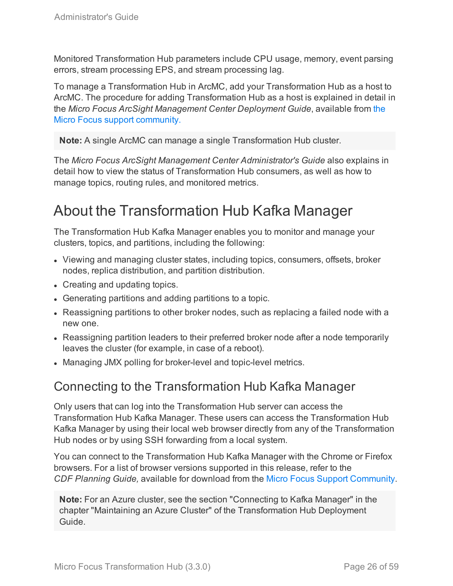Monitored Transformation Hub parameters include CPU usage, memory, event parsing errors, stream processing EPS, and stream processing lag.

To manage a Transformation Hub in ArcMC, add your Transformation Hub as a host to ArcMC. The procedure for adding Transformation Hub as a host is explained in detail in the *Micro Focus ArcSight Management Center Deployment Guide*, available from [the](https://community.softwaregrp.com/t5/ArcSight-Product-Documentation/ct-p/productdocs) Micro Focus support [community.](https://community.softwaregrp.com/t5/ArcSight-Product-Documentation/ct-p/productdocs)

**Note:** A single ArcMC can manage a single Transformation Hub cluster.

The *Micro Focus ArcSight Management Center Administrator's Guide* also explains in detail how to view the status of Transformation Hub consumers, as well as how to manage topics, routing rules, and monitored metrics.

# <span id="page-25-0"></span>About the Transformation Hub Kafka Manager

The Transformation Hub Kafka Manager enables you to monitor and manage your clusters, topics, and partitions, including the following:

- Viewing and managing cluster states, including topics, consumers, offsets, broker nodes, replica distribution, and partition distribution.
- Creating and updating topics.
- Generating partitions and adding partitions to a topic.
- Reassigning partitions to other broker nodes, such as replacing a failed node with a new one.
- Reassigning partition leaders to their preferred broker node after a node temporarily leaves the cluster (for example, in case of a reboot).
- <span id="page-25-1"></span>• Managing JMX polling for broker-level and topic-level metrics.

## Connecting to the Transformation Hub Kafka Manager

Only users that can log into the Transformation Hub server can access the Transformation Hub Kafka Manager. These users can access the Transformation Hub Kafka Manager by using their local web browser directly from any of the Transformation Hub nodes or by using SSH forwarding from a local system.

You can connect to the Transformation Hub Kafka Manager with the Chrome or Firefox browsers. For a list of browser versions supported in this release, refer to the *CDF Planning Guide,* available for download from the [Micro Focus](https://community.microfocus.com/t5/Transformation-Hub-Documentation/tkb-p/Transformation_Hub) Support Community.

**Note:** For an Azure cluster, see the section "Connecting to Kafka Manager" in the chapter "Maintaining an Azure Cluster" of the Transformation Hub Deployment Guide.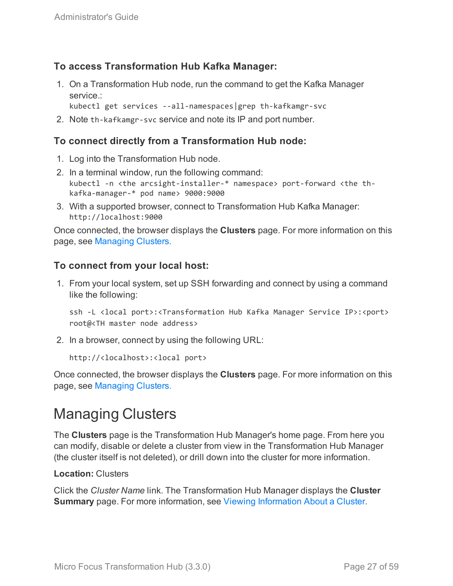## **To access Transformation Hub Kafka Manager:**

1. On a Transformation Hub node, run the command to get the Kafka Manager service :

kubectl get services --all-namespaces|grep th-kafkamgr-svc

2. Note th-kafkamgr-svc service and note its IP and port number.

## **To connect directly from a Transformation Hub node:**

- 1. Log into the Transformation Hub node.
- 2. In a terminal window, run the following command: kubectl -n <the arcsight-installer-\* namespace> port-forward <the thkafka-manager-\* pod name> 9000:9000
- 3. With a supported browser, connect to Transformation Hub Kafka Manager: http://localhost:9000

Once connected, the browser displays the **Clusters** page. For more information on this page, see [Managing](#page-26-0) Clusters.

### **To connect from your local host:**

1. From your local system, set up SSH forwarding and connect by using a command like the following:

ssh -L <local port>:<Transformation Hub Kafka Manager Service IP>:<port> root@<TH master node address>

2. In a browser, connect by using the following URL:

http://<localhost>:<local port>

Once connected, the browser displays the **Clusters** page. For more information on this page, see [Managing](#page-26-0) Clusters.

# <span id="page-26-0"></span>Managing Clusters

The **Clusters** page is the Transformation Hub Manager's home page. From here you can modify, disable or delete a cluster from view in the Transformation Hub Manager (the cluster itself is not deleted), or drill down into the cluster for more information.

#### **Location:** Clusters

Click the *Cluster Name* link. The Transformation Hub Manager displays the **Cluster Summary** page. For more information, see Viewing [Information](#page-27-0) About a Cluster.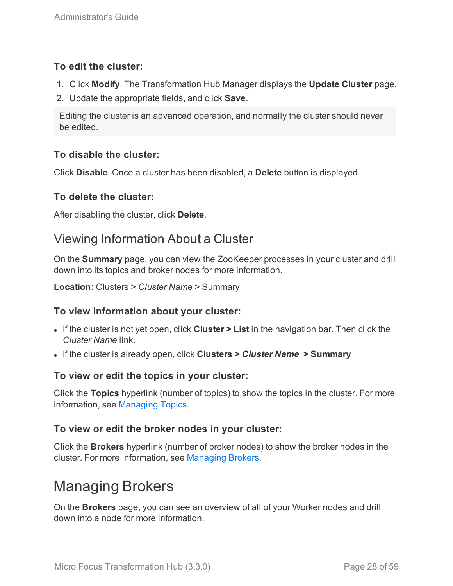## **To edit the cluster:**

- 1. Click **Modify**. The Transformation Hub Manager displays the **Update Cluster** page.
- 2. Update the appropriate fields, and click **Save**.

Editing the cluster is an advanced operation, and normally the cluster should never be edited.

## **To disable the cluster:**

Click **Disable**. Once a cluster has been disabled, a **Delete** button is displayed.

## **To delete the cluster:**

<span id="page-27-0"></span>After disabling the cluster, click **Delete**.

## Viewing Information About a Cluster

On the **Summary** page, you can view the ZooKeeper processes in your cluster and drill down into its topics and broker nodes for more information.

**Location:** Clusters > *Cluster Name* > Summary

## **To view information about your cluster:**

- If the cluster is not yet open, click **Cluster** > List in the navigation bar. Then click the *Cluster Name* link.
- <sup>l</sup> If the cluster is already open, click **Clusters >** *Cluster Name* **> Summary**

## **To view or edit the topics in your cluster:**

Click the **Topics** hyperlink (number of topics) to show the topics in the cluster. For more information, see [Managing](#page-29-4) Topics.

## **To view or edit the broker nodes in your cluster:**

Click the **Brokers** hyperlink (number of broker nodes) to show the broker nodes in the cluster. For more information, see [Managing](#page-27-1) Brokers.

# <span id="page-27-1"></span>Managing Brokers

On the **Brokers** page, you can see an overview of all of your Worker nodes and drill down into a node for more information.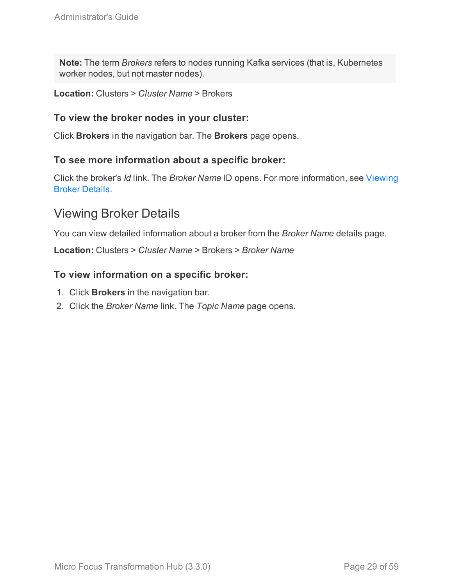**Note:** The term *Brokers* refers to nodes running Kafka services (that is, Kubernetes worker nodes, but not master nodes).

**Location:** Clusters > *Cluster Name* > Brokers

### **To view the broker nodes in your cluster:**

Click **Brokers** in the navigation bar. The **Brokers** page opens.

### **To see more information about a specific broker:**

Click the broker's *Id* link. The *Broker Name* ID opens. For more information, see [Viewing](#page-28-0) Broker [Details.](#page-28-0)

## <span id="page-28-0"></span>Viewing Broker Details

You can view detailed information about a broker from the *Broker Name* details page.

**Location:** Clusters > *Cluster Name* > Brokers > *Broker Name*

### **To view information on a specific broker:**

- 1. Click **Brokers** in the navigation bar.
- 2. Click the *Broker Name* link. The *Topic Name* page opens.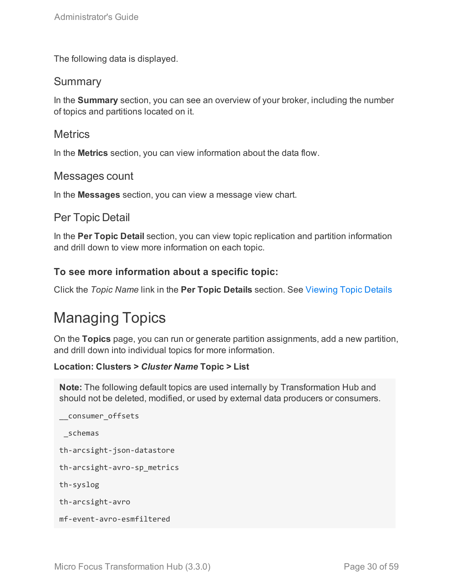<span id="page-29-0"></span>The following data is displayed.

## **Summary**

In the **Summary** section, you can see an overview of your broker, including the number of topics and partitions located on it.

## <span id="page-29-1"></span>**Metrics**

<span id="page-29-2"></span>In the **Metrics** section, you can view information about the data flow.

## Messages count

<span id="page-29-3"></span>In the **Messages** section, you can view a message view chart.

## Per Topic Detail

In the **Per Topic Detail** section, you can view topic replication and partition information and drill down to view more information on each topic.

## **To see more information about a specific topic:**

<span id="page-29-4"></span>Click the *Topic Name* link in the **Per Topic Details** section. See [Viewing](#page-31-0) Topic Details

# Managing Topics

On the **Topics** page, you can run or generate partition assignments, add a new partition, and drill down into individual topics for more information.

### **Location: Clusters >** *Cluster Name* **Topic > List**

**Note:** The following default topics are used internally by Transformation Hub and should not be deleted, modified, or used by external data producers or consumers.

```
__consumer_offsets
_schemas
th-arcsight-json-datastore
th-arcsight-avro-sp_metrics
th-syslog
th-arcsight-avro
mf-event-avro-esmfiltered
```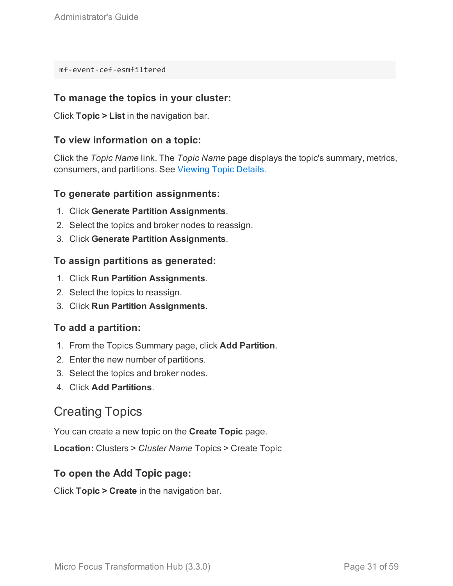mf-event-cef-esmfiltered

## **To manage the topics in your cluster:**

Click **Topic > List** in the navigation bar.

### **To view information on a topic:**

Click the *Topic Name* link. The *Topic Name* page displays the topic's summary, metrics, consumers, and partitions. See [Viewing](#page-31-0) Topic Details.

### **To generate partition assignments:**

- 1. Click **Generate Partition Assignments**.
- 2. Select the topics and broker nodes to reassign.
- 3. Click **Generate Partition Assignments**.

### **To assign partitions as generated:**

- 1. Click **Run Partition Assignments**.
- 2. Select the topics to reassign.
- 3. Click **Run Partition Assignments**.

### **To add a partition:**

- 1. From the Topics Summary page, click **Add Partition**.
- 2. Enter the new number of partitions.
- 3. Select the topics and broker nodes.
- <span id="page-30-0"></span>4. Click **Add Partitions**.

## Creating Topics

You can create a new topic on the **Create Topic** page.

**Location:** Clusters > *Cluster Name* Topics > Create Topic

## **To open the Add Topic page:**

Click **Topic > Create** in the navigation bar.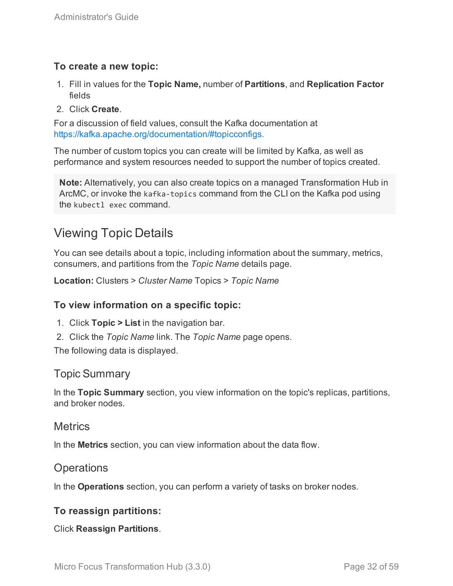## **To create a new topic:**

- 1. Fill in values for the **Topic Name,** number of **Partitions**, and **Replication Factor** fields
- 2. Click **Create**.

For a discussion of field values, consult the Kafka documentation at [https://kafka.apache.org/documentation/#topicconfigs.](https://kafka.apache.org/documentation/#topicconfigs)

The number of custom topics you can create will be limited by Kafka, as well as performance and system resources needed to support the number of topics created.

**Note:** Alternatively, you can also create topics on a managed Transformation Hub in ArcMC, or invoke the kafka-topics command from the CLI on the Kafka pod using the kubectl exec command.

## <span id="page-31-0"></span>Viewing Topic Details

You can see details about a topic, including information about the summary, metrics, consumers, and partitions from the *Topic Name* details page.

**Location:** Clusters > *Cluster Name* Topics > *Topic Name*

### **To view information on a specific topic:**

- 1. Click **Topic > List** in the navigation bar.
- 2. Click the *Topic Name* link. The *Topic Name* page opens.

<span id="page-31-1"></span>The following data is displayed.

## Topic Summary

In the **Topic Summary** section, you view information on the topic's replicas, partitions, and broker nodes.

## <span id="page-31-2"></span>**Metrics**

<span id="page-31-3"></span>In the **Metrics** section, you can view information about the data flow.

## **Operations**

In the **Operations** section, you can perform a variety of tasks on broker nodes.

### **To reassign partitions:**

Click **Reassign Partitions**.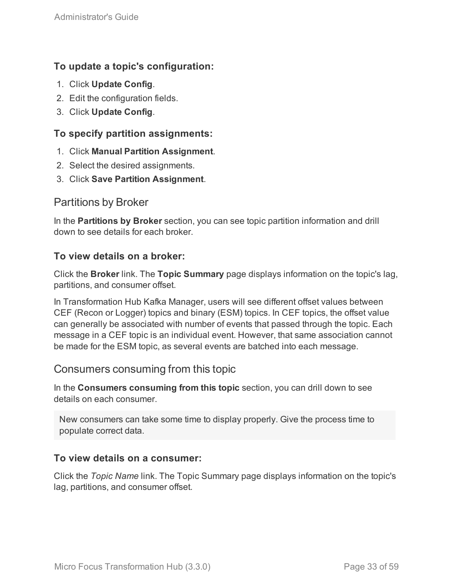## **To update a topic's configuration:**

- 1. Click **Update Config**.
- 2. Edit the configuration fields.
- 3. Click **Update Config**.

## **To specify partition assignments:**

- 1. Click **Manual Partition Assignment**.
- 2. Select the desired assignments.
- <span id="page-32-0"></span>3. Click **Save Partition Assignment**.

## Partitions by Broker

In the **Partitions by Broker** section, you can see topic partition information and drill down to see details for each broker.

## **To view details on a broker:**

Click the **Broker** link. The **Topic Summary** page displays information on the topic's lag, partitions, and consumer offset.

In Transformation Hub Kafka Manager, users will see different offset values between CEF (Recon or Logger) topics and binary (ESM) topics. In CEF topics, the offset value can generally be associated with number of events that passed through the topic. Each message in a CEF topic is an individual event. However, that same association cannot be made for the ESM topic, as several events are batched into each message.

## <span id="page-32-1"></span>Consumers consuming from this topic

In the **Consumers consuming from this topic** section, you can drill down to see details on each consumer.

New consumers can take some time to display properly. Give the process time to populate correct data.

## **To view details on a consumer:**

Click the *Topic Name* link. The Topic Summary page displays information on the topic's lag, partitions, and consumer offset.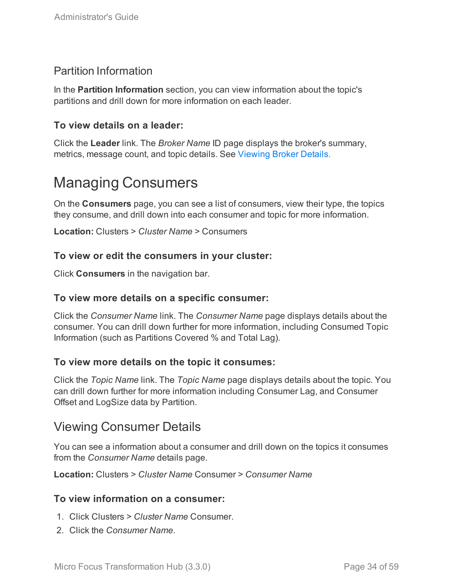## <span id="page-33-0"></span>Partition Information

In the **Partition Information** section, you can view information about the topic's partitions and drill down for more information on each leader.

## **To view details on a leader:**

Click the **Leader** link. The *Broker Name* ID page displays the broker's summary, metrics, message count, and topic details. See [Viewing](#page-28-0) Broker Details.

# <span id="page-33-1"></span>Managing Consumers

On the **Consumers** page, you can see a list of consumers, view their type, the topics they consume, and drill down into each consumer and topic for more information.

**Location:** Clusters > *Cluster Name* > Consumers

### **To view or edit the consumers in your cluster:**

Click **Consumers** in the navigation bar.

### **To view more details on a specific consumer:**

Click the *Consumer Name* link. The *Consumer Name* page displays details about the consumer. You can drill down further for more information, including Consumed Topic Information (such as Partitions Covered % and Total Lag).

## **To view more details on the topic it consumes:**

Click the *Topic Name* link. The *Topic Name* page displays details about the topic. You can drill down further for more information including Consumer Lag, and Consumer Offset and LogSize data by Partition.

## <span id="page-33-2"></span>Viewing Consumer Details

You can see a information about a consumer and drill down on the topics it consumes from the *Consumer Name* details page.

**Location:** Clusters > *Cluster Name* Consumer > *Consumer Name*

### **To view information on a consumer:**

- 1. Click Clusters > *Cluster Name* Consumer.
- 2. Click the *Consumer Name*.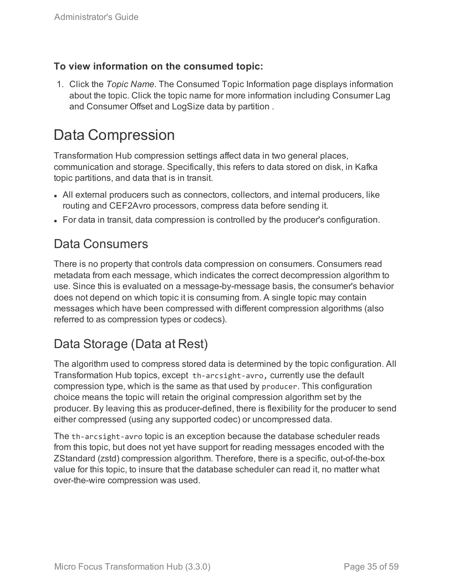## **To view information on the consumed topic:**

1. Click the *Topic Name*. The Consumed Topic Information page displays information about the topic. Click the topic name for more information including Consumer Lag and Consumer Offset and LogSize data by partition .

# <span id="page-34-0"></span>Data Compression

Transformation Hub compression settings affect data in two general places, communication and storage. Specifically, this refers to data stored on disk, in Kafka topic partitions, and data that is in transit.

- All external producers such as connectors, collectors, and internal producers, like routing and CEF2Avro processors, compress data before sending it.
- For data in transit, data compression is controlled by the producer's configuration.

## Data Consumers

There is no property that controls data compression on consumers. Consumers read metadata from each message, which indicates the correct decompression algorithm to use. Since this is evaluated on a message-by-message basis, the consumer's behavior does not depend on which topic it is consuming from. A single topic may contain messages which have been compressed with different compression algorithms (also referred to as compression types or codecs).

## Data Storage (Data at Rest)

The algorithm used to compress stored data is determined by the topic configuration. All Transformation Hub topics, except th-arcsight-avro, currently use the default compression type, which is the same as that used by producer. This configuration choice means the topic will retain the original compression algorithm set by the producer. By leaving this as producer-defined, there is flexibility for the producer to send either compressed (using any supported codec) or uncompressed data.

The th-arcsight-avro topic is an exception because the database scheduler reads from this topic, but does not yet have support for reading messages encoded with the ZStandard (zstd) compression algorithm. Therefore, there is a specific, out-of-the-box value for this topic, to insure that the database scheduler can read it, no matter what over-the-wire compression was used.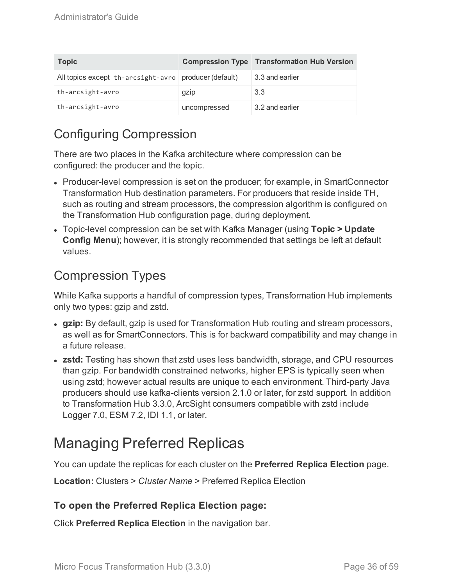| <b>Topic</b>                                            |              | <b>Compression Type Transformation Hub Version</b> |
|---------------------------------------------------------|--------------|----------------------------------------------------|
| All topics except th-arcsight-avro   producer (default) |              | 3.3 and earlier                                    |
| th-arcsight-avro                                        | gzip         | 3.3                                                |
| th-arcsight-avro                                        | uncompressed | 3.2 and earlier                                    |

# Configuring Compression

There are two places in the Kafka architecture where compression can be configured: the producer and the topic.

- Producer-level compression is set on the producer; for example, in SmartConnector Transformation Hub destination parameters. For producers that reside inside TH, such as routing and stream processors, the compression algorithm is configured on the Transformation Hub configuration page, during deployment.
- <sup>l</sup> Topic-level compression can be set with Kafka Manager (using **Topic > Update Config Menu**); however, it is strongly recommended that settings be left at default values.

## Compression Types

While Kafka supports a handful of compression types, Transformation Hub implements only two types: gzip and zstd.

- gzip: By default, gzip is used for Transformation Hub routing and stream processors, as well as for SmartConnectors. This is for backward compatibility and may change in a future release.
- **zstd:** Testing has shown that zstd uses less bandwidth, storage, and CPU resources than gzip. For bandwidth constrained networks, higher EPS is typically seen when using zstd; however actual results are unique to each environment. Third-party Java producers should use kafka-clients version 2.1.0 or later, for zstd support. In addition to Transformation Hub 3.3.0, ArcSight consumers compatible with zstd include Logger 7.0, ESM 7.2, IDI 1.1, or later.

# <span id="page-35-0"></span>Managing Preferred Replicas

You can update the replicas for each cluster on the **Preferred Replica Election** page.

**Location:** Clusters > *Cluster Name* > Preferred Replica Election

## **To open the Preferred Replica Election page:**

Click **Preferred Replica Election** in the navigation bar.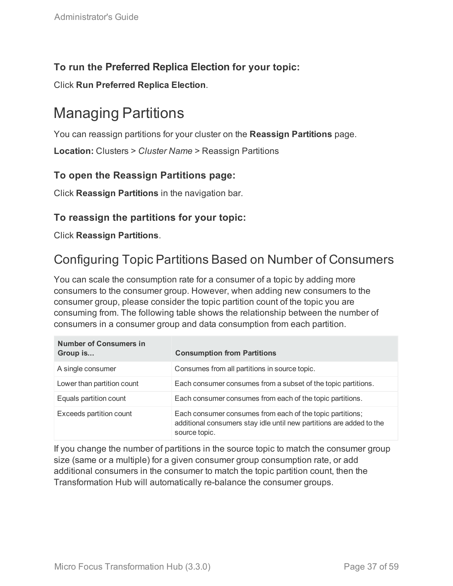## **To run the Preferred Replica Election for your topic:**

<span id="page-36-0"></span>Click **Run Preferred Replica Election**.

# Managing Partitions

You can reassign partitions for your cluster on the **Reassign Partitions** page.

**Location:** Clusters > *Cluster Name* > Reassign Partitions

## **To open the Reassign Partitions page:**

Click **Reassign Partitions** in the navigation bar.

## **To reassign the partitions for your topic:**

<span id="page-36-1"></span>Click **Reassign Partitions**.

## Configuring Topic Partitions Based on Number of Consumers

You can scale the consumption rate for a consumer of a topic by adding more consumers to the consumer group. However, when adding new consumers to the consumer group, please consider the topic partition count of the topic you are consuming from. The following table shows the relationship between the number of consumers in a consumer group and data consumption from each partition.

| <b>Number of Consumers in</b><br>Group is | <b>Consumption from Partitions</b>                                                                                                                 |
|-------------------------------------------|----------------------------------------------------------------------------------------------------------------------------------------------------|
| A single consumer                         | Consumes from all partitions in source topic.                                                                                                      |
| Lower than partition count                | Each consumer consumes from a subset of the topic partitions.                                                                                      |
| Equals partition count                    | Each consumer consumes from each of the topic partitions.                                                                                          |
| Exceeds partition count                   | Each consumer consumes from each of the topic partitions;<br>additional consumers stay idle until new partitions are added to the<br>source topic. |

If you change the number of partitions in the source topic to match the consumer group size (same or a multiple) for a given consumer group consumption rate, or add additional consumers in the consumer to match the topic partition count, then the Transformation Hub will automatically re-balance the consumer groups.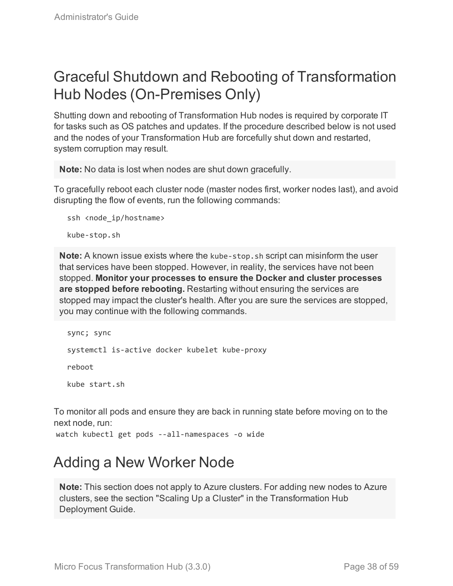# <span id="page-37-0"></span>Graceful Shutdown and Rebooting of Transformation Hub Nodes (On-Premises Only)

Shutting down and rebooting of Transformation Hub nodes is required by corporate IT for tasks such as OS patches and updates. If the procedure described below is not used and the nodes of your Transformation Hub are forcefully shut down and restarted, system corruption may result.

**Note:** No data is lost when nodes are shut down gracefully.

To gracefully reboot each cluster node (master nodes first, worker nodes last), and avoid disrupting the flow of events, run the following commands:

```
ssh <node ip/hostname>
kube-stop.sh
```
**Note:** A known issue exists where the kube-stop.sh script can misinform the user that services have been stopped. However, in reality, the services have not been stopped. **Monitor your processes to ensure the Docker and cluster processes are stopped before rebooting.** Restarting without ensuring the services are stopped may impact the cluster's health. After you are sure the services are stopped, you may continue with the following commands.

```
sync; sync
systemctl is-active docker kubelet kube-proxy
reboot
kube start.sh
```
To monitor all pods and ensure they are back in running state before moving on to the next node, run:

<span id="page-37-1"></span>watch kubectl get pods --all-namespaces -o wide

# Adding a New Worker Node

**Note:** This section does not apply to Azure clusters. For adding new nodes to Azure clusters, see the section "Scaling Up a Cluster" in the Transformation Hub Deployment Guide.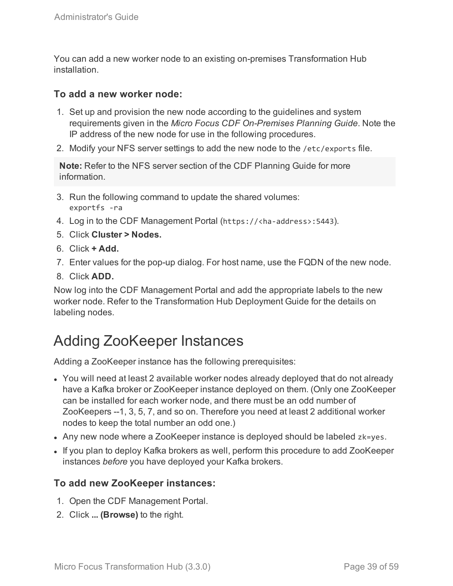You can add a new worker node to an existing on-premises Transformation Hub installation.

### **To add a new worker node:**

- 1. Set up and provision the new node according to the guidelines and system requirements given in the *Micro Focus CDF On-Premises Planning Guide*. Note the IP address of the new node for use in the following procedures.
- 2. Modify your NFS server settings to add the new node to the /etc/exports file.

**Note:** Refer to the NFS server section of the CDF Planning Guide for more information.

- 3. Run the following command to update the shared volumes: exportfs -ra
- 4. Log in to the CDF Management Portal (https://<ha-address>:5443).
- 5. Click **Cluster > Nodes.**
- 6. Click **+ Add.**
- 7. Enter values for the pop-up dialog. For host name, use the FQDN of the new node.
- 8. Click **ADD.**

Now log into the CDF Management Portal and add the appropriate labels to the new worker node. Refer to the Transformation Hub Deployment Guide for the details on labeling nodes.

# <span id="page-38-0"></span>Adding ZooKeeper Instances

Adding a ZooKeeper instance has the following prerequisites:

- You will need at least 2 available worker nodes already deployed that do not already have a Kafka broker or ZooKeeper instance deployed on them. (Only one ZooKeeper can be installed for each worker node, and there must be an odd number of ZooKeepers --1, 3, 5, 7, and so on. Therefore you need at least 2 additional worker nodes to keep the total number an odd one.)
- Any new node where a ZooKeeper instance is deployed should be labeled zk=yes.
- If you plan to deploy Kafka brokers as well, perform this procedure to add ZooKeeper instances *before* you have deployed your Kafka brokers.

## **To add new ZooKeeper instances:**

- 1. Open the CDF Management Portal.
- 2. Click **... (Browse)** to the right.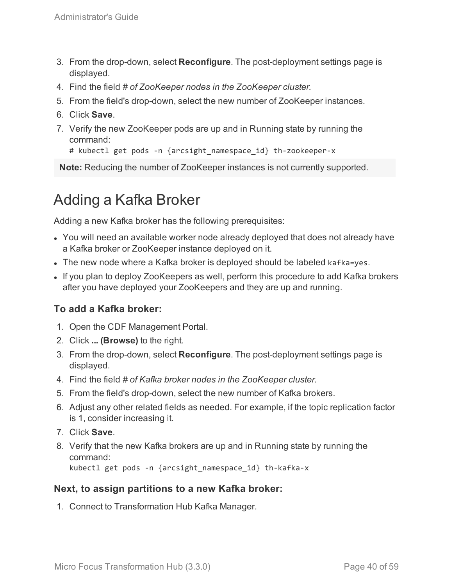- 3. From the drop-down, select **Reconfigure**. The post-deployment settings page is displayed.
- 4. Find the field *# of ZooKeeper nodes in the ZooKeeper cluster.*
- 5. From the field's drop-down, select the new number of ZooKeeper instances.
- 6. Click **Save**.
- 7. Verify the new ZooKeeper pods are up and in Running state by running the command:

```
# kubectl get pods -n {arcsight namespace id} th-zookeeper-x
```
<span id="page-39-0"></span>**Note:** Reducing the number of ZooKeeper instances is not currently supported.

# Adding a Kafka Broker

Adding a new Kafka broker has the following prerequisites:

- You will need an available worker node already deployed that does not already have a Kafka broker or ZooKeeper instance deployed on it.
- The new node where a Kafka broker is deployed should be labeled kafka=yes.
- If you plan to deploy ZooKeepers as well, perform this procedure to add Kafka brokers after you have deployed your ZooKeepers and they are up and running.

## **To add a Kafka broker:**

- 1. Open the CDF Management Portal.
- 2. Click **... (Browse)** to the right.
- 3. From the drop-down, select **Reconfigure**. The post-deployment settings page is displayed.
- 4. Find the field *# of Kafka broker nodes in the ZooKeeper cluster.*
- 5. From the field's drop-down, select the new number of Kafka brokers.
- 6. Adjust any other related fields as needed. For example, if the topic replication factor is 1, consider increasing it.
- 7. Click **Save**.
- 8. Verify that the new Kafka brokers are up and in Running state by running the command: kubectl get pods -n {arcsight\_namespace\_id} th-kafka-x

### **Next, to assign partitions to a new Kafka broker:**

1. Connect to Transformation Hub Kafka Manager.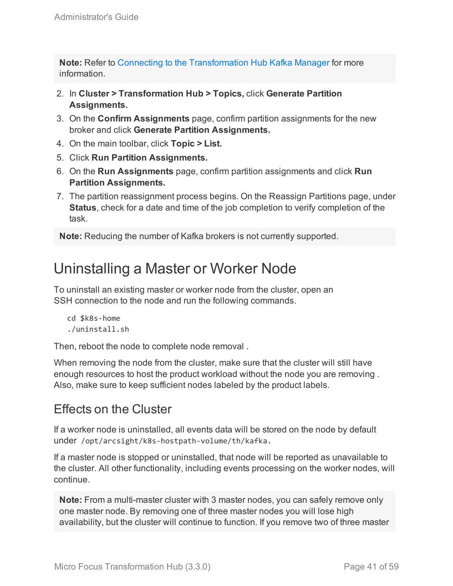**Note:** Refer to Connecting to the [Transformation](#page-25-1) Hub Kafka Manager for more information.

- 2. In **Cluster > Transformation Hub > Topics,** click **Generate Partition Assignments.**
- 3. On the **Confirm Assignments** page, confirm partition assignments for the new broker and click **Generate Partition Assignments.**
- 4. On the main toolbar, click **Topic > List.**
- 5. Click **Run Partition Assignments.**
- 6. On the **Run Assignments** page, confirm partition assignments and click **Run Partition Assignments.**
- 7. The partition reassignment process begins. On the Reassign Partitions page, under **Status**, check for a date and time of the job completion to verify completion of the task.

<span id="page-40-0"></span>**Note:** Reducing the number of Kafka brokers is not currently supported.

# Uninstalling a Master or Worker Node

To uninstall an existing master or worker node from the cluster, open an SSH connection to the node and run the following commands.

```
cd $k8s-home
./uninstall.sh
```
Then, reboot the node to complete node removal .

When removing the node from the cluster, make sure that the cluster will still have enough resources to host the product workload without the node you are removing . Also, make sure to keep sufficient nodes labeled by the product labels.

## Effects on the Cluster

If a worker node is uninstalled, all events data will be stored on the node by default under /opt/arcsight/k8s-hostpath-volume/th/kafka.

If a master node is stopped or uninstalled, that node will be reported as unavailable to the cluster. All other functionality, including events processing on the worker nodes, will continue.

**Note:** From a multi-master cluster with 3 master nodes, you can safely remove only one master node. By removing one of three master nodes you will lose high availability, but the cluster will continue to function. If you remove two of three master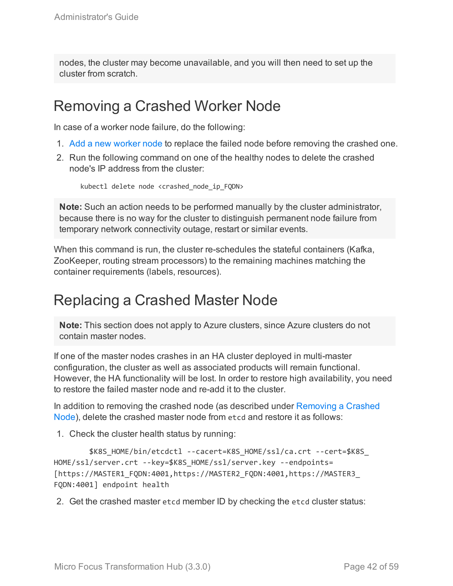nodes, the cluster may become unavailable, and you will then need to set up the cluster from scratch.

## <span id="page-41-0"></span>Removing a Crashed Worker Node

In case of a worker node failure, do the following:

- 1. Add a new [worker](#page-37-1) node to replace the failed node before removing the crashed one.
- 2. Run the following command on one of the healthy nodes to delete the crashed node's IP address from the cluster:

kubectl delete node <crashed node ip FQDN>

**Note:** Such an action needs to be performed manually by the cluster administrator, because there is no way for the cluster to distinguish permanent node failure from temporary network connectivity outage, restart or similar events.

When this command is run, the cluster re-schedules the stateful containers (Kafka, ZooKeeper, routing stream processors) to the remaining machines matching the container requirements (labels, resources).

## <span id="page-41-1"></span>Replacing a Crashed Master Node

**Note:** This section does not apply to Azure clusters, since Azure clusters do not contain master nodes.

If one of the master nodes crashes in an HA cluster deployed in multi-master configuration, the cluster as well as associated products will remain functional. However, the HA functionality will be lost. In order to restore high availability, you need to restore the failed master node and re-add it to the cluster.

In addition to removing the crashed node (as described under [Removing](#page-23-0) a Crashed [Node](#page-23-0)), delete the crashed master node from etcd and restore it as follows:

1. Check the cluster health status by running:

```
$K8S_HOME/bin/etcdctl --cacert=K8S_HOME/ssl/ca.crt --cert=$K8S_
HOME/ssl/server.crt --key=$K8S_HOME/ssl/server.key --endpoints=
[https://MASTER1_FQDN:4001,https://MASTER2_FQDN:4001,https://MASTER3_
FQDN:4001] endpoint health
```
2. Get the crashed master etcd member ID by checking the etcd cluster status: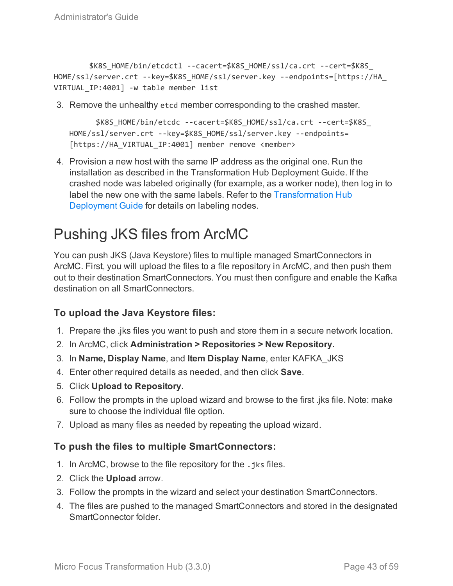```
$K8S_HOME/bin/etcdctl --cacert=$K8S_HOME/ssl/ca.crt --cert=$K8S_
HOME/ssl/server.crt --key=$K8S_HOME/ssl/server.key --endpoints=[https://HA_
VIRTUAL IP:4001] -w table member list
```
3. Remove the unhealthy etcd member corresponding to the crashed master.

```
$K8S_HOME/bin/etcdc --cacert=$K8S_HOME/ssl/ca.crt --cert=$K8S_
HOME/ssl/server.crt --key=$K8S_HOME/ssl/server.key --endpoints=
[https://HA_VIRTUAL_IP:4001] member remove <member>
```
4. Provision a new host with the same IP address as the original one. Run the installation as described in the Transformation Hub Deployment Guide. If the crashed node was labeled originally (for example, as a worker node), then log in to label the new one with the same labels. Refer to the [Transformation](https://community.microfocus.com/t5/Transformation-Hub-Documentation/tkb-p/Transformation_Hub) Hub [Deployment](https://community.microfocus.com/t5/Transformation-Hub-Documentation/tkb-p/Transformation_Hub) Guide for details on labeling nodes.

# <span id="page-42-0"></span>Pushing JKS files from ArcMC

You can push JKS (Java Keystore) files to multiple managed SmartConnectors in ArcMC. First, you will upload the files to a file repository in ArcMC, and then push them out to their destination SmartConnectors. You must then configure and enable the Kafka destination on all SmartConnectors.

## **To upload the Java Keystore files:**

- 1. Prepare the .jks files you want to push and store them in a secure network location.
- 2. In ArcMC, click **Administration > Repositories > New Repository.**
- 3. In **Name, Display Name**, and **Item Display Name**, enter KAFKA\_JKS
- 4. Enter other required details as needed, and then click **Save**.
- 5. Click **Upload to Repository.**
- 6. Follow the prompts in the upload wizard and browse to the first .jks file. Note: make sure to choose the individual file option.
- 7. Upload as many files as needed by repeating the upload wizard.

## **To push the files to multiple SmartConnectors:**

- 1. In ArcMC, browse to the file repository for the . iks files.
- 2. Click the **Upload** arrow.
- 3. Follow the prompts in the wizard and select your destination SmartConnectors.
- 4. The files are pushed to the managed SmartConnectors and stored in the designated SmartConnector folder.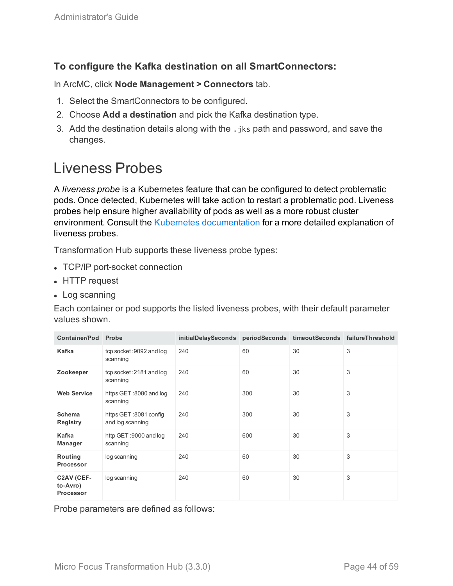## **To configure the Kafka destination on all SmartConnectors:**

In ArcMC, click **Node Management > Connectors** tab.

- 1. Select the SmartConnectors to be configured.
- 2. Choose **Add a destination** and pick the Kafka destination type.
- 3. Add the destination details along with the, iks path and password, and save the changes.

# <span id="page-43-0"></span>Liveness Probes

A *liveness probe* is a Kubernetes feature that can be configured to detect problematic pods. Once detected, Kubernetes will take action to restart a problematic pod. Liveness probes help ensure higher availability of pods as well as a more robust cluster environment. Consult the Kubernetes [documentation](https://kubernetes.io/docs/tasks/configure-pod-container/configure-liveness-readiness-probes/#before-you-begin) for a more detailed explanation of liveness probes.

Transformation Hub supports these liveness probe types:

- TCP/IP port-socket connection
- HTTP request
- $\cdot$  Log scanning

Each container or pod supports the listed liveness probes, with their default parameter values shown.

| <b>Container/Pod</b>                       | Probe                                      | initialDelaySeconds periodSeconds timeoutSeconds failureThreshold |     |    |   |
|--------------------------------------------|--------------------------------------------|-------------------------------------------------------------------|-----|----|---|
| Kafka                                      | tcp socket: 9092 and log<br>scanning       | 240                                                               | 60  | 30 | 3 |
| Zookeeper                                  | tcp socket: 2181 and log<br>scanning       | 240                                                               | 60  | 30 | 3 |
| <b>Web Service</b>                         | https GET:8080 and log<br>scanning         | 240                                                               | 300 | 30 | 3 |
| <b>Schema</b><br><b>Registry</b>           | https GET :8081 config<br>and log scanning | 240                                                               | 300 | 30 | 3 |
| Kafka<br><b>Manager</b>                    | http GET :9000 and log<br>scanning         | 240                                                               | 600 | 30 | 3 |
| Routing<br><b>Processor</b>                | log scanning                               | 240                                                               | 60  | 30 | 3 |
| C2AV (CEF-<br>to-Avro)<br><b>Processor</b> | log scanning                               | 240                                                               | 60  | 30 | 3 |

Probe parameters are defined as follows: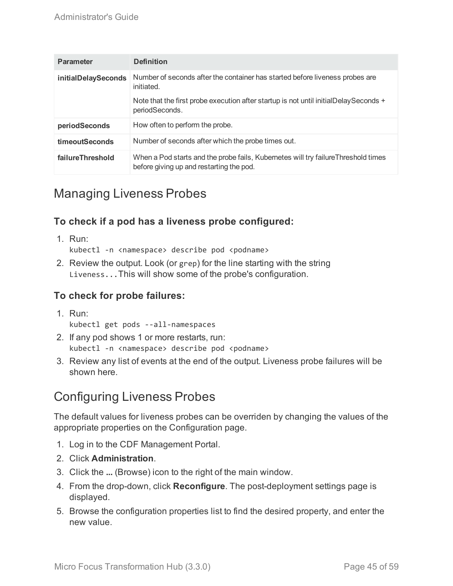| <b>Parameter</b>    | <b>Definition</b>                                                                                                             |
|---------------------|-------------------------------------------------------------------------------------------------------------------------------|
| initialDelaySeconds | Number of seconds after the container has started before liveness probes are<br>initiated.                                    |
|                     | Note that the first probe execution after startup is not until initialDelaySeconds +<br>periodSeconds.                        |
| periodSeconds       | How often to perform the probe.                                                                                               |
| timeoutSeconds      | Number of seconds after which the probe times out.                                                                            |
| failureThreshold    | When a Pod starts and the probe fails, Kubernetes will try failureThreshold times<br>before giving up and restarting the pod. |

## Managing Liveness Probes

## **To check if a pod has a liveness probe configured:**

1. Run:

kubectl -n <namespace> describe pod <podname>

2. Review the output. Look (or grep) for the line starting with the string Liveness...This will show some of the probe's configuration.

## **To check for probe failures:**

1. Run:

kubectl get pods --all-namespaces

- 2. If any pod shows 1 or more restarts, run: kubectl -n <namespace> describe pod <podname>
- 3. Review any list of events at the end of the output. Liveness probe failures will be shown here.

## Configuring Liveness Probes

The default values for liveness probes can be overriden by changing the values of the appropriate properties on the Configuration page.

- 1. Log in to the CDF Management Portal.
- 2. Click **Administration**.
- 3. Click the **...** (Browse) icon to the right of the main window.
- 4. From the drop-down, click **Reconfigure**. The post-deployment settings page is displayed.
- 5. Browse the configuration properties list to find the desired property, and enter the new value.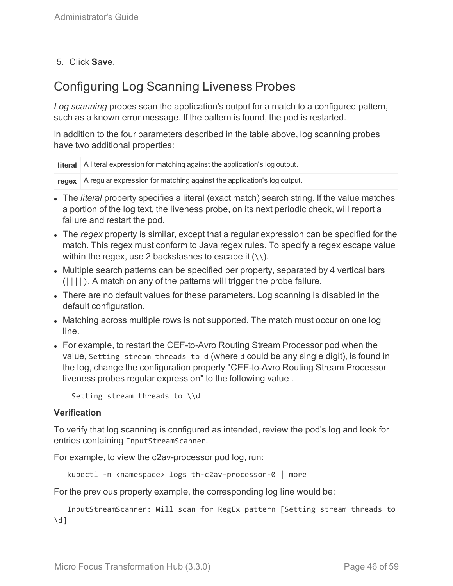## 5. Click **Save**.

## Configuring Log Scanning Liveness Probes

*Log scanning* probes scan the application's output for a match to a configured pattern, such as a known error message. If the pattern is found, the pod is restarted.

In addition to the four parameters described in the table above, log scanning probes have two additional properties:

```
literal A literal expression for matching against the application's log output.
```
**regex** A regular expression for matching against the application's log output.

- The *literal* property specifies a literal (exact match) search string. If the value matches a portion of the log text, the liveness probe, on its next periodic check, will report a failure and restart the pod.
- <sup>l</sup> The *regex* property is similar, except that a regular expression can be specified for the match. This regex must conform to Java regex rules. To specify a regex escape value within the regex, use 2 backslashes to escape it  $(\setminus)$ .
- Multiple search patterns can be specified per property, separated by 4 vertical bars  $(||,|,|)$ . A match on any of the patterns will trigger the probe failure.
- There are no default values for these parameters. Log scanning is disabled in the default configuration.
- Matching across multiple rows is not supported. The match must occur on one log line.
- For example, to restart the CEF-to-Avro Routing Stream Processor pod when the value, Setting stream threads to d (where d could be any single digit), is found in the log, change the configuration property "CEF-to-Avro Routing Stream Processor liveness probes regular expression" to the following value .

Setting stream threads to \\d

#### **Verification**

To verify that log scanning is configured as intended, review the pod's log and look for entries containing InputStreamScanner.

For example, to view the c2av-processor pod log, run:

kubectl -n <namespace> logs th-c2av-processor-0 | more

For the previous property example, the corresponding log line would be:

InputStreamScanner: Will scan for RegEx pattern [Setting stream threads to  $\overline{d}$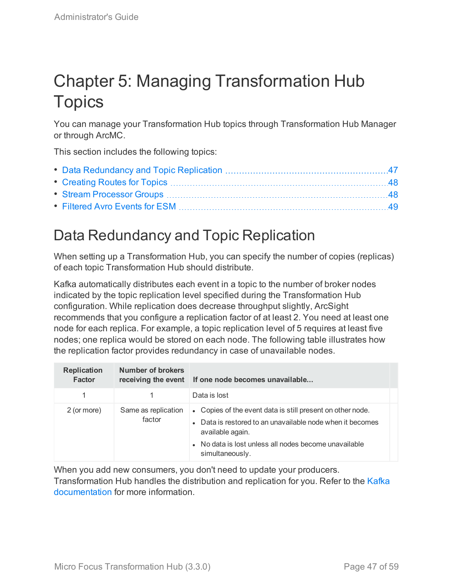# <span id="page-46-0"></span>Chapter 5: Managing Transformation Hub **Topics**

You can manage your Transformation Hub topics through Transformation Hub Manager or through ArcMC.

This section includes the following topics:

# <span id="page-46-1"></span>Data Redundancy and Topic Replication

When setting up a Transformation Hub, you can specify the number of copies (replicas) of each topic Transformation Hub should distribute.

Kafka automatically distributes each event in a topic to the number of broker nodes indicated by the topic replication level specified during the Transformation Hub configuration. While replication does decrease throughput slightly, ArcSight recommends that you configure a replication factor of at least 2. You need at least one node for each replica. For example, a topic replication level of 5 requires at least five nodes; one replica would be stored on each node. The following table illustrates how the replication factor provides redundancy in case of unavailable nodes.

| <b>Replication</b><br><b>Factor</b> | <b>Number of brokers</b>      | receiving the event If one node becomes unavailable                                                                                                                                                                     |
|-------------------------------------|-------------------------------|-------------------------------------------------------------------------------------------------------------------------------------------------------------------------------------------------------------------------|
|                                     |                               | Data is lost                                                                                                                                                                                                            |
| 2 (or more)                         | Same as replication<br>factor | • Copies of the event data is still present on other node.<br>• Data is restored to an unavailable node when it becomes<br>available again.<br>• No data is lost unless all nodes become unavailable<br>simultaneously. |

When you add new consumers, you don't need to update your producers. Transformation Hub handles the distribution and replication for you. Refer to the [Kafka](https://kafka.apache.org/documentation#replication) [documentation](https://kafka.apache.org/documentation#replication) for more information.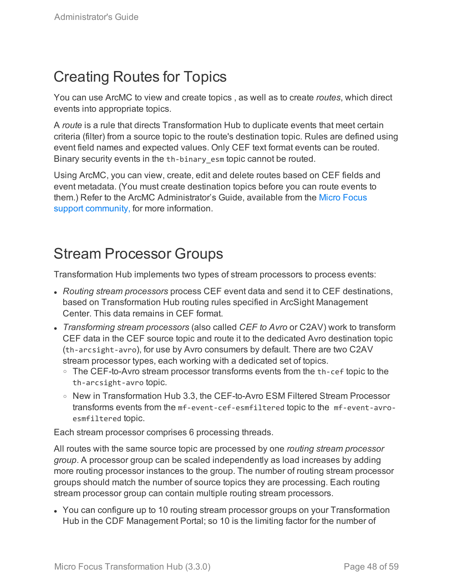# <span id="page-47-0"></span>Creating Routes for Topics

You can use ArcMC to view and create topics , as well as to create *routes*, which direct events into appropriate topics.

A *route* is a rule that directs Transformation Hub to duplicate events that meet certain criteria (filter) from a source topic to the route's destination topic. Rules are defined using event field names and expected values. Only CEF text format events can be routed. Binary security events in the th-binary esm topic cannot be routed.

Using ArcMC, you can view, create, edit and delete routes based on CEF fields and event metadata. (You must create destination topics before you can route events to them.) Refer to the ArcMC Administrator's Guide, available from the Micro [Focus](https://community.microfocus.com/t5/Transformation-Hub-Documentation/tkb-p/Transformation_Hub) support [community,](https://community.microfocus.com/t5/Transformation-Hub-Documentation/tkb-p/Transformation_Hub) for more information.

# <span id="page-47-1"></span>Stream Processor Groups

Transformation Hub implements two types of stream processors to process events:

- <sup>l</sup> *Routing stream processors* process CEF event data and send it to CEF destinations, based on Transformation Hub routing rules specified in ArcSight Management Center. This data remains in CEF format.
- <sup>l</sup> *Transforming stream processors* (also called *CEF to Avro* or C2AV) work to transform CEF data in the CEF source topic and route it to the dedicated Avro destination topic (th-arcsight-avro), for use by Avro consumers by default. There are two C2AV stream processor types, each working with a dedicated set of topics.
	- The CEF-to-Avro stream processor transforms events from the th-cef topic to the th-arcsight-avro topic.
	- <sup>o</sup> New in Transformation Hub 3.3, the CEF-to-Avro ESM Filtered Stream Processor transforms events from the mf-event-cef-esmfiltered topic to the mf-event-avroesmfiltered topic.

Each stream processor comprises 6 processing threads.

All routes with the same source topic are processed by one *routing stream processor group*. A processor group can be scaled independently as load increases by adding more routing processor instances to the group. The number of routing stream processor groups should match the number of source topics they are processing. Each routing stream processor group can contain multiple routing stream processors.

• You can configure up to 10 routing stream processor groups on your Transformation Hub in the CDF Management Portal; so 10 is the limiting factor for the number of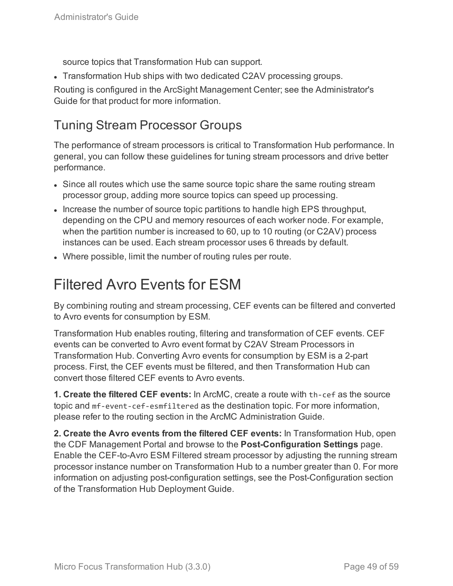source topics that Transformation Hub can support.

• Transformation Hub ships with two dedicated C2AV processing groups.

Routing is configured in the ArcSight Management Center; see the Administrator's Guide for that product for more information.

## Tuning Stream Processor Groups

The performance of stream processors is critical to Transformation Hub performance. In general, you can follow these guidelines for tuning stream processors and drive better performance.

- Since all routes which use the same source topic share the same routing stream processor group, adding more source topics can speed up processing.
- Increase the number of source topic partitions to handle high EPS throughput, depending on the CPU and memory resources of each worker node. For example, when the partition number is increased to 60, up to 10 routing (or C2AV) process instances can be used. Each stream processor uses 6 threads by default.
- <span id="page-48-0"></span>• Where possible, limit the number of routing rules per route.

# Filtered Avro Events for ESM

By combining routing and stream processing, CEF events can be filtered and converted to Avro events for consumption by ESM.

Transformation Hub enables routing, filtering and transformation of CEF events. CEF events can be converted to Avro event format by C2AV Stream Processors in Transformation Hub. Converting Avro events for consumption by ESM is a 2-part process. First, the CEF events must be filtered, and then Transformation Hub can convert those filtered CEF events to Avro events.

**1. Create the filtered CEF events:** In ArcMC, create a route with th-cef as the source topic and mf-event-cef-esmfiltered as the destination topic. For more information, please refer to the routing section in the ArcMC Administration Guide.

**2. Create the Avro events from the filtered CEF events:** In Transformation Hub, open the CDF Management Portal and browse to the **Post-Configuration Settings** page. Enable the CEF-to-Avro ESM Filtered stream processor by adjusting the running stream processor instance number on Transformation Hub to a number greater than 0. For more information on adjusting post-configuration settings, see the Post-Configuration section of the Transformation Hub Deployment Guide.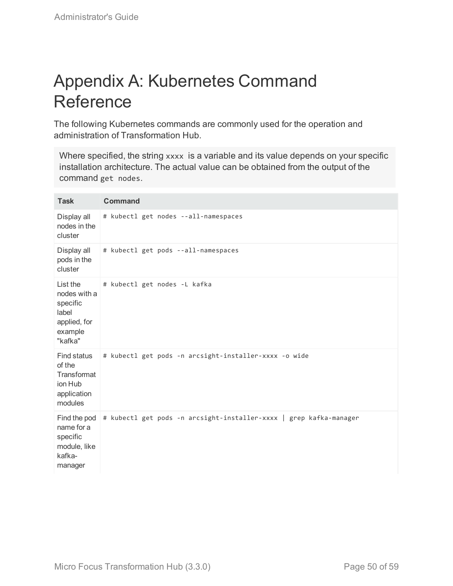# <span id="page-49-0"></span>Appendix A: Kubernetes Command Reference

The following Kubernetes commands are commonly used for the operation and administration of Transformation Hub.

Where specified, the string xxxx is a variable and its value depends on your specific installation architecture. The actual value can be obtained from the output of the command get nodes.

| <b>Task</b>                                                                         | <b>Command</b>                                                     |
|-------------------------------------------------------------------------------------|--------------------------------------------------------------------|
| Display all<br>nodes in the<br>cluster                                              | # kubectl get nodes --all-namespaces                               |
| Display all<br>pods in the<br>cluster                                               | # kubectl get pods --all-namespaces                                |
| List the<br>nodes with a<br>specific<br>label<br>applied, for<br>example<br>"kafka" | # kubectl get nodes -L kafka                                       |
| Find status<br>of the<br>Transformat<br>ion Hub<br>application<br>modules           | # kubectl get pods -n arcsight-installer-xxxx -o wide              |
| Find the pod<br>name for a<br>specific<br>module, like<br>kafka-<br>manager         | # kubectl get pods -n arcsight-installer-xxxx   grep kafka-manager |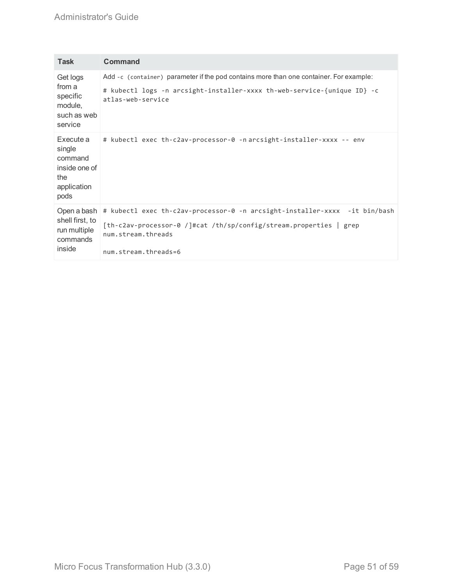### Administrator's Guide

| Task                                                                          | Command                                                                                                                                                                                        |
|-------------------------------------------------------------------------------|------------------------------------------------------------------------------------------------------------------------------------------------------------------------------------------------|
| Get logs<br>from a<br>specific<br>module,<br>such as web<br>service           | Add -c (container) parameter if the pod contains more than one container. For example:<br># kubectl logs -n arcsight-installer-xxxx th-web-service-{unique ID} -c<br>atlas-web-service         |
| Execute a<br>single<br>command<br>inside one of<br>the<br>application<br>pods | # kubectl exec th-c2av-processor-0 -n arcsight-installer-xxxx -- env                                                                                                                           |
| Open a bash<br>shell first, to<br>run multiple<br>commands<br>inside          | # kubectl exec th-c2av-processor-0 -n arcsight-installer-xxxx -it bin/bash<br>[th-c2av-processor-0 /]#cat /th/sp/config/stream.properties   grep<br>num.stream.threads<br>num.stream.threads=6 |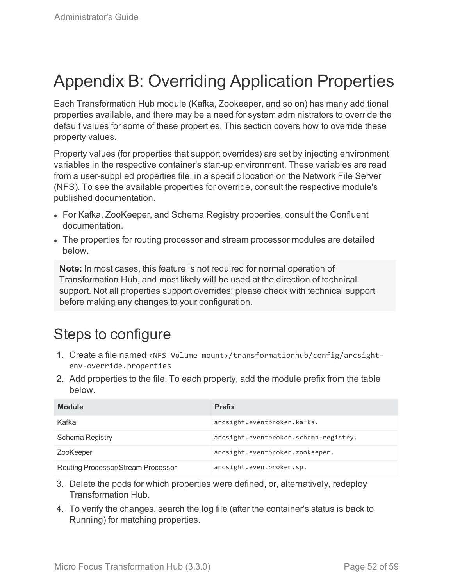# <span id="page-51-0"></span>Appendix B: Overriding Application Properties

Each Transformation Hub module (Kafka, Zookeeper, and so on) has many additional properties available, and there may be a need for system administrators to override the default values for some of these properties. This section covers how to override these property values.

Property values (for properties that support overrides) are set by injecting environment variables in the respective container's start-up environment. These variables are read from a user-supplied properties file, in a specific location on the Network File Server (NFS). To see the available properties for override, consult the respective module's published documentation.

- For Kafka, ZooKeeper, and Schema Registry properties, consult the Confluent documentation.
- The properties for routing processor and stream processor modules are detailed below.

**Note:** In most cases, this feature is not required for normal operation of Transformation Hub, and most likely will be used at the direction of technical support. Not all properties support overrides; please check with technical support before making any changes to your configuration.

# Steps to configure

- 1. Create a file named <NFS Volume mount>/transformationhub/config/arcsightenv-override.properties
- 2. Add properties to the file. To each property, add the module prefix from the table below.

| <b>Module</b>                      | <b>Prefix</b>                         |
|------------------------------------|---------------------------------------|
| Kafka                              | arcsight.eventbroker.kafka.           |
| Schema Registry                    | arcsight.eventbroker.schema-registry. |
| ZooKeeper                          | arcsight.eventbroker.zookeeper.       |
| Routing Processor/Stream Processor | arcsight.eventbroker.sp.              |

- 3. Delete the pods for which properties were defined, or, alternatively, redeploy Transformation Hub.
- 4. To verify the changes, search the log file (after the container's status is back to Running) for matching properties.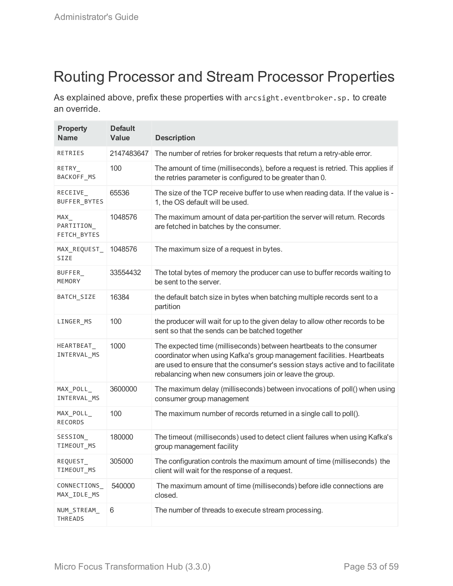# Routing Processor and Stream Processor Properties

As explained above, prefix these properties with arcsight.eventbroker.sp. to create an override.

| <b>Property</b><br><b>Name</b>  | <b>Default</b><br><b>Value</b> | <b>Description</b>                                                                                                                                                                                                                                                                        |
|---------------------------------|--------------------------------|-------------------------------------------------------------------------------------------------------------------------------------------------------------------------------------------------------------------------------------------------------------------------------------------|
| RETRIES                         | 2147483647                     | The number of retries for broker requests that return a retry-able error.                                                                                                                                                                                                                 |
| RETRY<br>BACKOFF_MS             | 100                            | The amount of time (milliseconds), before a request is retried. This applies if<br>the retries parameter is configured to be greater than 0.                                                                                                                                              |
| RECEIVE_<br>BUFFER_BYTES        | 65536                          | The size of the TCP receive buffer to use when reading data. If the value is -<br>1, the OS default will be used.                                                                                                                                                                         |
| MAX<br>PARTITION<br>FETCH_BYTES | 1048576                        | The maximum amount of data per-partition the server will return. Records<br>are fetched in batches by the consumer.                                                                                                                                                                       |
| MAX_REQUEST_<br><b>SIZE</b>     | 1048576                        | The maximum size of a request in bytes.                                                                                                                                                                                                                                                   |
| BUFFER_<br>MEMORY               | 33554432                       | The total bytes of memory the producer can use to buffer records waiting to<br>be sent to the server.                                                                                                                                                                                     |
| BATCH_SIZE                      | 16384                          | the default batch size in bytes when batching multiple records sent to a<br>partition                                                                                                                                                                                                     |
| LINGER_MS                       | 100                            | the producer will wait for up to the given delay to allow other records to be<br>sent so that the sends can be batched together                                                                                                                                                           |
| HEARTBEAT_<br>INTERVAL_MS       | 1000                           | The expected time (milliseconds) between heartbeats to the consumer<br>coordinator when using Kafka's group management facilities. Heartbeats<br>are used to ensure that the consumer's session stays active and to facilitate<br>rebalancing when new consumers join or leave the group. |
| MAX_POLL_<br>INTERVAL_MS        | 3600000                        | The maximum delay (milliseconds) between invocations of poll() when using<br>consumer group management                                                                                                                                                                                    |
| MAX_POLL_<br><b>RECORDS</b>     | 100                            | The maximum number of records returned in a single call to poll().                                                                                                                                                                                                                        |
| SESSION_<br>TIMEOUT_MS          | 180000                         | The timeout (milliseconds) used to detect client failures when using Kafka's<br>group management facility                                                                                                                                                                                 |
| REQUEST_<br>TIMEOUT_MS          | 305000                         | The configuration controls the maximum amount of time (milliseconds) the<br>client will wait for the response of a request.                                                                                                                                                               |
| CONNECTIONS<br>MAX_IDLE_MS      | 540000                         | The maximum amount of time (milliseconds) before idle connections are<br>closed.                                                                                                                                                                                                          |
| NUM_STREAM_<br>THREADS          | 6                              | The number of threads to execute stream processing.                                                                                                                                                                                                                                       |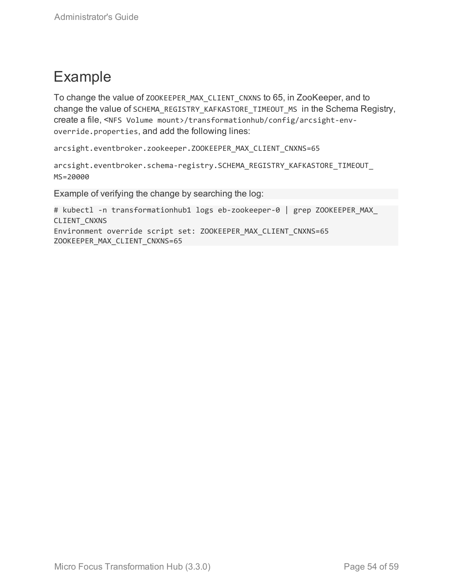# Example

To change the value of ZOOKEEPER\_MAX\_CLIENT\_CNXNS to 65, in ZooKeeper, and to change the value of SCHEMA\_REGISTRY\_KAFKASTORE\_TIMEOUT\_MS in the Schema Registry, create a file, <NFS Volume mount>/transformationhub/config/arcsight-envoverride.properties, and add the following lines:

arcsight.eventbroker.zookeeper.ZOOKEEPER\_MAX\_CLIENT\_CNXNS=65

```
arcsight.eventbroker.schema-registry.SCHEMA_REGISTRY_KAFKASTORE_TIMEOUT_
MS=20000
```
Example of verifying the change by searching the log:

```
# kubectl -n transformationhub1 logs eb-zookeeper-0 | grep ZOOKEEPER_MAX_
CLIENT_CNXNS
Environment override script set: ZOOKEEPER_MAX_CLIENT_CNXNS=65
ZOOKEEPER_MAX_CLIENT_CNXNS=65
```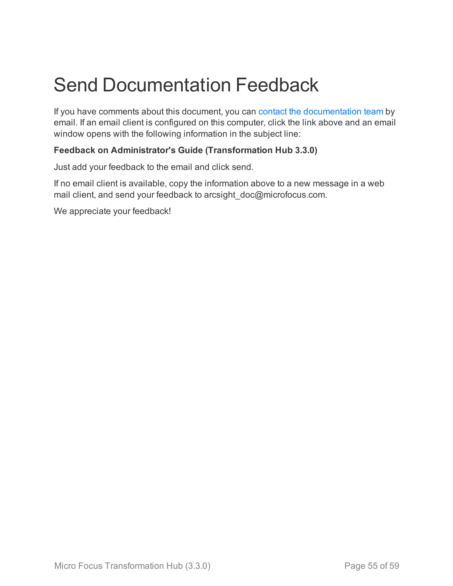# <span id="page-54-0"></span>Send Documentation Feedback

If you have comments about this document, you can contact the [documentation](mailto:arcsight_doc@microfocus.com?subject=Feedback on Transformation Hub Administrator) team by email. If an email client is configured on this computer, click the link above and an email window opens with the following information in the subject line:

### **Feedback on Administrator's Guide (Transformation Hub 3.3.0)**

Just add your feedback to the email and click send.

If no email client is available, copy the information above to a new message in a web mail client, and send your feedback to arcsight\_doc@microfocus.com.

We appreciate your feedback!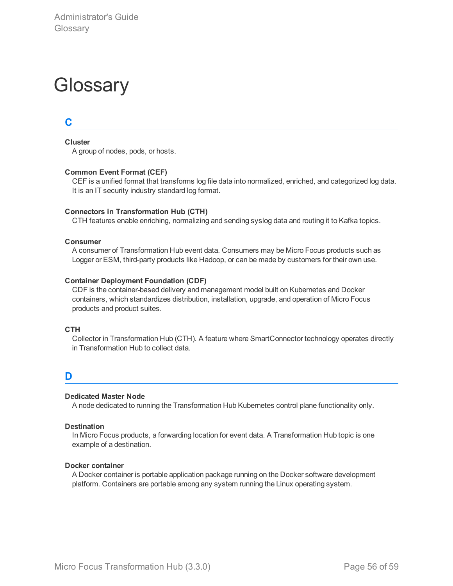# <span id="page-55-0"></span>**Glossary**

## **C**

**Cluster**

A group of nodes, pods, or hosts.

#### **Common Event Format (CEF)**

CEF is a unified format that transforms log file data into normalized, enriched, and categorized log data. It is an IT security industry standard log format.

#### **Connectors in Transformation Hub (CTH)**

CTH features enable enriching, normalizing and sending syslog data and routing it to Kafka topics.

#### **Consumer**

A consumer of Transformation Hub event data. Consumers may be Micro Focus products such as Logger or ESM, third-party products like Hadoop, or can be made by customers for their own use.

#### **Container Deployment Foundation (CDF)**

CDF is the container-based delivery and management model built on Kubernetes and Docker containers, which standardizes distribution, installation, upgrade, and operation of Micro Focus products and product suites.

#### **CTH**

Collector in Transformation Hub (CTH). A feature where SmartConnector technology operates directly in Transformation Hub to collect data.

#### **D**

#### **Dedicated Master Node**

A node dedicated to running the Transformation Hub Kubernetes control plane functionality only.

#### **Destination**

In Micro Focus products, a forwarding location for event data. A Transformation Hub topic is one example of a destination.

#### **Docker container**

A Docker container is portable application package running on the Docker software development platform. Containers are portable among any system running the Linux operating system.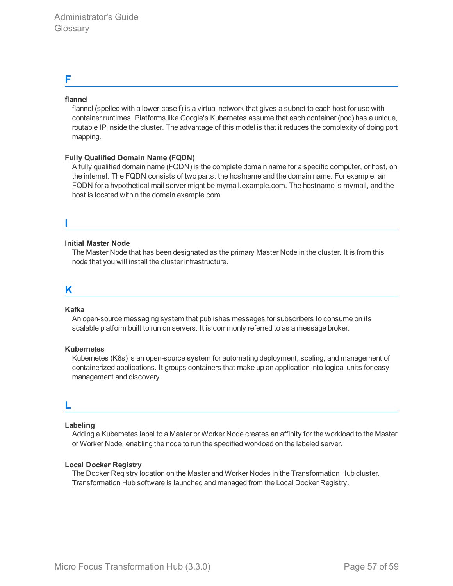### **F**

#### **flannel**

flannel (spelled with a lower-case f) is a virtual network that gives a subnet to each host for use with container runtimes. Platforms like Google's Kubernetes assume that each container (pod) has a unique, routable IP inside the cluster. The advantage of this model is that it reduces the complexity of doing port mapping.

#### **Fully Qualified Domain Name (FQDN)**

A fully qualified domain name (FQDN) is the complete domain name for a specific computer, or host, on the internet. The FQDN consists of two parts: the hostname and the domain name. For example, an FQDN for a hypothetical mail server might be mymail.example.com. The hostname is mymail, and the host is located within the domain example.com.

#### **Initial Master Node**

The Master Node that has been designated as the primary Master Node in the cluster. It is from this node that you will install the cluster infrastructure.

#### **K**

**I**

#### **Kafka**

An open-source messaging system that publishes messages for subscribers to consume on its scalable platform built to run on servers. It is commonly referred to as a message broker.

#### **Kubernetes**

Kubernetes (K8s) is an open-source system for automating deployment, scaling, and management of containerized applications. It groups containers that make up an application into logical units for easy management and discovery.

### **L**

#### **Labeling**

Adding a Kubernetes label to a Master or Worker Node creates an affinity for the workload to the Master or Worker Node, enabling the node to run the specified workload on the labeled server.

#### **Local Docker Registry**

The Docker Registry location on the Master and Worker Nodes in the Transformation Hub cluster. Transformation Hub software is launched and managed from the Local Docker Registry.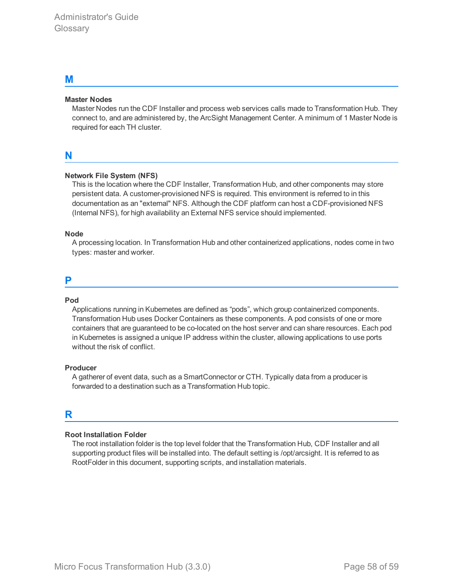#### **M**

#### **Master Nodes**

Master Nodes run the CDF Installer and process web services calls made to Transformation Hub. They connect to, and are administered by, the ArcSight Management Center. A minimum of 1 Master Node is required for each TH cluster.

### **N**

#### **Network File System (NFS)**

This is the location where the CDF Installer, Transformation Hub, and other components may store persistent data. A customer-provisioned NFS is required. This environment is referred to in this documentation as an "external" NFS. Although the CDF platform can host a CDF-provisioned NFS (Internal NFS), for high availability an External NFS service should implemented.

#### **Node**

A processing location. In Transformation Hub and other containerized applications, nodes come in two types: master and worker.

#### **P**

#### **Pod**

Applications running in Kubernetes are defined as "pods", which group containerized components. Transformation Hub uses Docker Containers as these components. A pod consists of one or more containers that are guaranteed to be co-located on the host server and can share resources. Each pod in Kubernetes is assigned a unique IP address within the cluster, allowing applications to use ports without the risk of conflict.

#### **Producer**

A gatherer of event data, such as a SmartConnector or CTH. Typically data from a producer is forwarded to a destination such as a Transformation Hub topic.

## **R**

#### **Root Installation Folder**

The root installation folder is the top level folder that the Transformation Hub, CDF Installer and all supporting product files will be installed into. The default setting is /opt/arcsight. It is referred to as RootFolder in this document, supporting scripts, and installation materials.